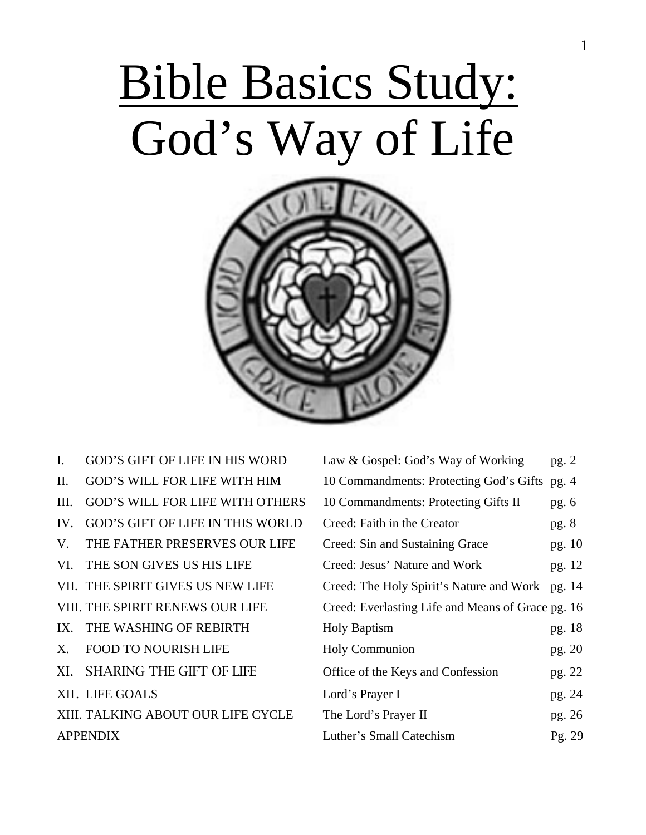# Bible Basics Study: God's Way of Life



I. GOD'S GIFT OF LIFE IN HIS WORD II. GOD'S WILL FOR LIFE WITH HIM III. GOD'S WILL FOR LIFE WITH OTHERS IV. GOD'S GIFT OF LIFE IN THIS WORLD V. THE FATHER PRESERVES OUR LIFE VI. THE SON GIVES US HIS LIFE VII. THE SPIRIT GIVES US NEW LIFE VIII. THE SPIRIT RENEWS OUR LIFE IX. THE WASHING OF REBIRTH X. FOOD TO NOURISH LIFE XI. SHARING THE GIFT OF LIFE XII. LIFE GOALS XIII. TALKING ABOUT OUR LIFE CYCLE APPENDIX Duther's Small Catechism Pg. 29

| Law & Gospel: God's Way of Working                | pg. 2   |  |
|---------------------------------------------------|---------|--|
| 10 Commandments: Protecting God's Gifts           | pg.4    |  |
| 10 Commandments: Protecting Gifts II              | pg. $6$ |  |
| Creed: Faith in the Creator                       | pg. 8   |  |
| Creed: Sin and Sustaining Grace                   | pg. 10  |  |
| Creed: Jesus' Nature and Work                     | pg. 12  |  |
| Creed: The Holy Spirit's Nature and Work          | pg. 14  |  |
| Creed: Everlasting Life and Means of Grace pg. 16 |         |  |
| <b>Holy Baptism</b>                               | pg. 18  |  |
| <b>Holy Communion</b>                             | pg. 20  |  |
| Office of the Keys and Confession                 | pg. 22  |  |
| Lord's Prayer I                                   | pg. 24  |  |
| The Lord's Prayer II                              | pg. 26  |  |
| Luther's Small Catechism                          | Pg. 29  |  |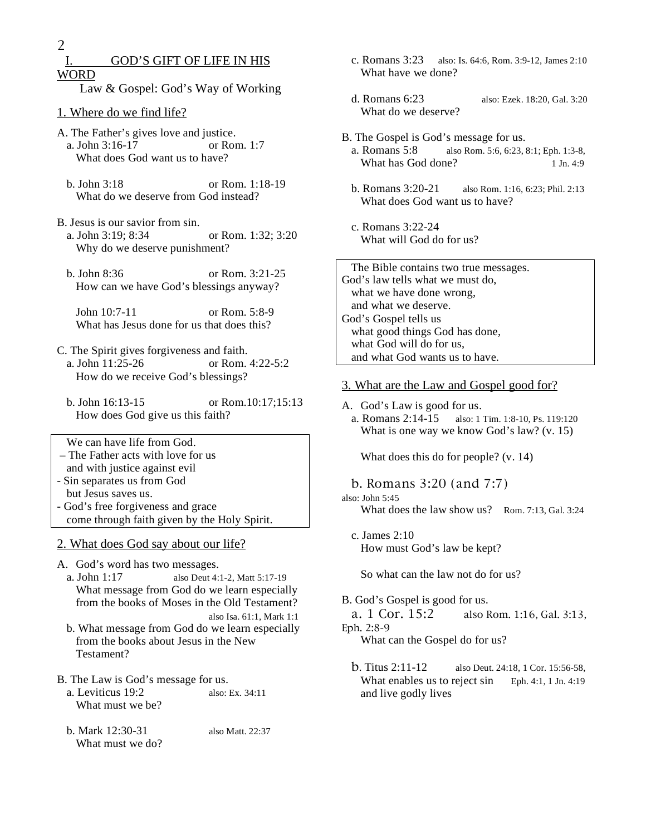- 2
- I. GOD'S GIFT OF LIFE IN HIS WORD

Law & Gospel: God's Way of Working

- 1. Where do we find life?
- A. The Father's gives love and justice.<br>a. John 3:16-17 or Rom. 1:7
- a. John  $3:16-17$ What does God want us to have?
- b. John 3:18 or Rom. 1:18-19 What do we deserve from God instead?
- B. Jesus is our savior from sin.
- a. John 3:19; 8:34 or Rom. 1:32; 3:20 Why do we deserve punishment?
- b. John 8:36 or Rom. 3:21-25 How can we have God's blessings anyway?

 John 10:7-11 or Rom. 5:8-9 What has Jesus done for us that does this?

- C. The Spirit gives forgiveness and faith.
- a. John 11:25-26 or Rom. 4:22-5:2 How do we receive God's blessings?
- b. John 16:13-15 or Rom.10:17;15:13 How does God give us this faith?

We can have life from God.

- The Father acts with love for us
- and with justice against evil
- Sin separates us from God but Jesus saves us.
- God's free forgiveness and grace
- come through faith given by the Holy Spirit.
- 2. What does God say about our life?
- A. God's word has two messages.
	- a. John 1:17 also Deut 4:1-2, Matt 5:17-19 What message from God do we learn especially from the books of Moses in the Old Testament? also Isa. 61:1, Mark 1:1
	- b. What message from God do we learn especially from the books about Jesus in the New Testament?
- B. The Law is God's message for us. a. Leviticus 19:2 also: Ex. 34:11 What must we be?
	- b. Mark 12:30-31 also Matt. 22:37 What must we do?
- c. Romans 3:23 also: Is. 64:6, Rom. 3:9-12, James 2:10 What have we done?
- d. Romans 6:23 also: Ezek. 18:20, Gal. 3:20 What do we deserve?
- B. The Gospel is God's message for us. a. Romans 5:8 also Rom. 5:6, 6:23, 8:1; Eph. 1:3-8, What has God done? 1 Jn. 4:9
	- b. Romans 3:20-21 also Rom. 1:16, 6:23; Phil. 2:13 What does God want us to have?
	- c. Romans 3:22-24 What will God do for us?

 The Bible contains two true messages. God's law tells what we must do, what we have done wrong, and what we deserve. God's Gospel tells us what good things God has done, what God will do for us, and what God wants us to have.

- 3. What are the Law and Gospel good for?
- A. God's Law is good for us.
- a. Romans 2:14-15 also: 1 Tim. 1:8-10, Ps. 119:120 What is one way we know God's law? (v. 15)

What does this do for people? (v. 14)

- b. Romans 3:20 (and 7:7) also: John 5:45
	- What does the law show us? Rom. 7:13, Gal. 3:24
	- c. James 2:10 How must God's law be kept?

So what can the law not do for us?

B. God's Gospel is good for us.

a. 1 Cor. 15:2 also Rom. 1:16, Gal. 3:13, Eph. 2:8-9

What can the Gospel do for us?

 b. Titus 2:11-12 also Deut. 24:18, 1 Cor. 15:56-58, What enables us to reject sin Eph. 4:1, 1 Jn. 4:19 and live godly lives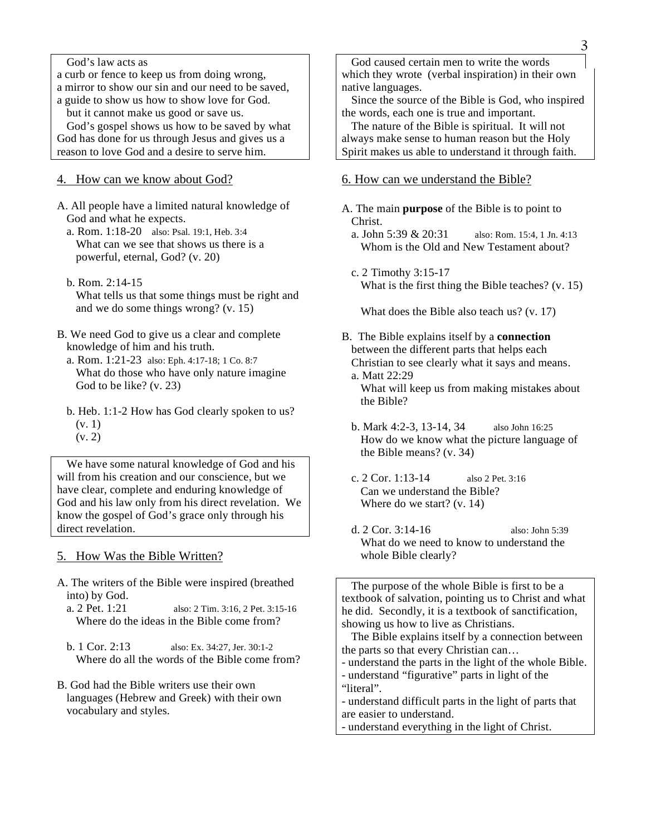God's law acts as

a curb or fence to keep us from doing wrong, a mirror to show our sin and our need to be saved, a guide to show us how to show love for God.

but it cannot make us good or save us.

 God's gospel shows us how to be saved by what God has done for us through Jesus and gives us a reason to love God and a desire to serve him.

4. How can we know about God?

A. All people have a limited natural knowledge of God and what he expects.

 a. Rom. 1:18-20 also: Psal. 19:1, Heb. 3:4 What can we see that shows us there is a powerful, eternal, God? (v. 20)

 b. Rom. 2:14-15 What tells us that some things must be right and and we do some things wrong? (v. 15)

B. We need God to give us a clear and complete knowledge of him and his truth.

 a. Rom. 1:21-23 also: Eph. 4:17-18; 1 Co. 8:7 What do those who have only nature imagine God to be like? (v. 23)

 b. Heb. 1:1-2 How has God clearly spoken to us? (v. 1) (v. 2)

 We have some natural knowledge of God and his will from his creation and our conscience, but we have clear, complete and enduring knowledge of God and his law only from his direct revelation. We know the gospel of God's grace only through his direct revelation.

#### 5. How Was the Bible Written?

- A. The writers of the Bible were inspired (breathed into) by God.
	- a. 2 Pet. 1:21 also: 2 Tim. 3:16, 2 Pet. 3:15-16 Where do the ideas in the Bible come from?

**b.** 1 Cor. 2:13 also: Ex. 34:27, Jer. 30:1-2. Where do all the words of the Bible come from?

B. God had the Bible writers use their own languages (Hebrew and Greek) with their own vocabulary and styles.

 God caused certain men to write the words which they wrote (verbal inspiration) in their own native languages.

 Since the source of the Bible is God, who inspired the words, each one is true and important.

 The nature of the Bible is spiritual. It will not always make sense to human reason but the Holy Spirit makes us able to understand it through faith.

#### 6. How can we understand the Bible?

- A. The main **purpose** of the Bible is to point to Christ.
	- a. John 5:39 & 20:31 also: Rom. 15:4, 1 Jn. 4:13 Whom is the Old and New Testament about?
	- c. 2 Timothy 3:15-17 What is the first thing the Bible teaches? (v. 15)

What does the Bible also teach us? (v. 17)

B. The Bible explains itself by a **connection** between the different parts that helps each Christian to see clearly what it says and means. a. Matt 22:29

 What will keep us from making mistakes about the Bible?

- b. Mark 4:2-3, 13-14, 34 also John 16:25 How do we know what the picture language of the Bible means? (v. 34)
- c. 2 Cor. 1:13-14 also 2 Pet. 3:16 Can we understand the Bible? Where do we start? (v. 14)
- d. 2 Cor. 3:14-16 also: John 5:39 What do we need to know to understand the whole Bible clearly?

 The purpose of the whole Bible is first to be a textbook of salvation, pointing us to Christ and what he did. Secondly, it is a textbook of sanctification, showing us how to live as Christians.

 The Bible explains itself by a connection between the parts so that every Christian can…

- understand the parts in the light of the whole Bible.
- understand "figurative" parts in light of the "literal".

- understand difficult parts in the light of parts that are easier to understand.

- understand everything in the light of Christ.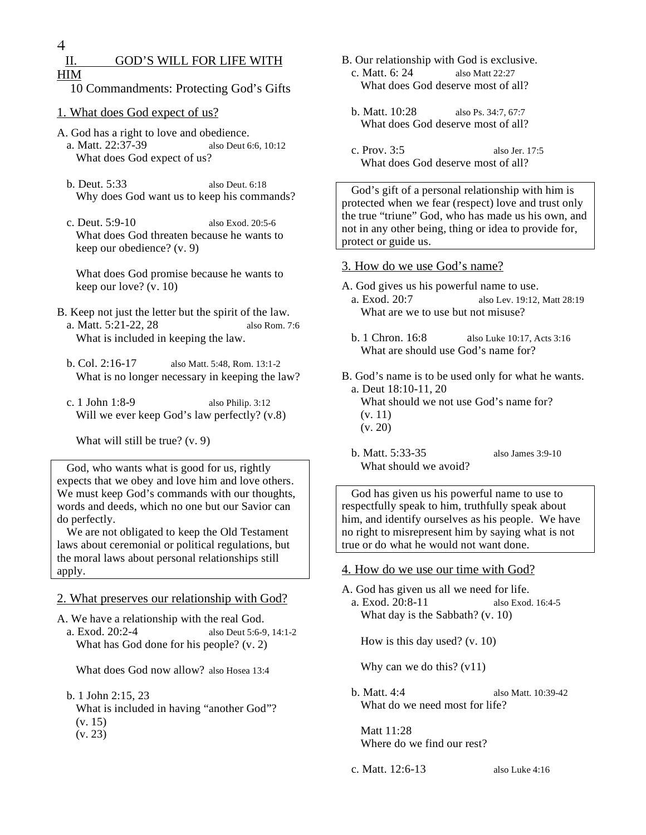# II. GOD'S WILL FOR LIFE WITH HIM

10 Commandments: Protecting God's Gifts

# 1. What does God expect of us?

- A. God has a right to love and obedience.
	- a. Matt. 22:37-39 also Deut 6:6, 10:12 What does God expect of us?
	- b. Deut. 5:33 also Deut. 6:18 Why does God want us to keep his commands?
	- c. Deut. 5:9-10 also Exod. 20:5-6 What does God threaten because he wants to keep our obedience? (v. 9)

 What does God promise because he wants to keep our love? (v. 10)

- B. Keep not just the letter but the spirit of the law. a. Matt. 5:21-22, 28 also Rom. 7:6 What is included in keeping the law.
	- b. Col. 2:16-17 also Matt. 5:48, Rom. 13:1-2 What is no longer necessary in keeping the law?
	- c. 1 John 1:8-9 also Philip. 3:12 Will we ever keep God's law perfectly?  $(v.8)$

What will still be true? (v. 9)

 God, who wants what is good for us, rightly expects that we obey and love him and love others. We must keep God's commands with our thoughts, words and deeds, which no one but our Savior can do perfectly.

 We are not obligated to keep the Old Testament laws about ceremonial or political regulations, but the moral laws about personal relationships still apply.

# 2. What preserves our relationship with God?

- A. We have a relationship with the real God. a. Exod. 20:2-4 also Deut 5:6-9, 14:1-2
	- What has God done for his people? (v. 2)

What does God now allow? also Hosea 13:4

- b. 1 John 2:15, 23
- What is included in having "another God"? (v. 15) (v. 23)
- B. Our relationship with God is exclusive. c. Matt. 6: 24 also Matt 22:27 What does God deserve most of all?
	- b. Matt. 10:28 also Ps. 34:7, 67:7 What does God deserve most of all?
- c. Prov. 3:5 also Jer. 17:5 What does God deserve most of all?

 God's gift of a personal relationship with him is protected when we fear (respect) love and trust only the true "triune" God, who has made us his own, and not in any other being, thing or idea to provide for, protect or guide us.

#### 3. How do we use God's name?

- A. God gives us his powerful name to use. a. Exod. 20:7 also Lev. 19:12, Matt 28:19 What are we to use but not misuse?
	- b. 1 Chron. 16:8 also Luke 10:17, Acts 3:16 What are should use God's name for?
- B. God's name is to be used only for what he wants. a. Deut 18:10-11, 20

 What should we not use God's name for? (v. 11) (v. 20)

 b. Matt. 5:33-35 also James 3:9-10 What should we avoid?

 God has given us his powerful name to use to respectfully speak to him, truthfully speak about him, and identify ourselves as his people. We have no right to misrepresent him by saying what is not true or do what he would not want done.

#### 4. How do we use our time with God?

A. God has given us all we need for life. a. Exod. 20:8-11 also Exod. 16:4-5 What day is the Sabbath? (v. 10)

How is this day used? (v. 10)

Why can we do this? (v11)

 b. Matt. 4:4 also Matt. 10:39-42 What do we need most for life?

 Matt 11:28 Where do we find our rest?

c. Matt. 12:6-13 also Luke 4:16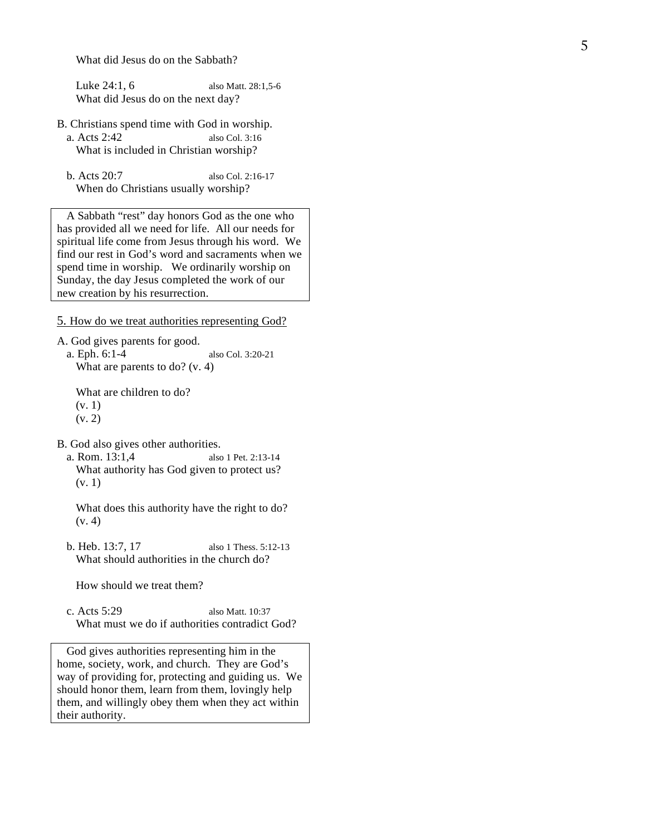What did Jesus do on the Sabbath?

Luke 24:1, 6 also Matt. 28:1,5-6 What did Jesus do on the next day?

B. Christians spend time with God in worship. a. Acts 2:42 also Col. 3:16 What is included in Christian worship?

 b. Acts 20:7 also Col. 2:16-17 When do Christians usually worship?

 A Sabbath "rest" day honors God as the one who has provided all we need for life. All our needs for spiritual life come from Jesus through his word. We find our rest in God's word and sacraments when we spend time in worship. We ordinarily worship on Sunday, the day Jesus completed the work of our new creation by his resurrection.

5. How do we treat authorities representing God?

A. God gives parents for good.

 a. Eph. 6:1-4 also Col. 3:20-21 What are parents to do? (v. 4)

 What are children to do? (v. 1) (v. 2)

B. God also gives other authorities.

 a. Rom. 13:1,4 also 1 Pet. 2:13-14 What authority has God given to protect us? (v. 1)

 What does this authority have the right to do?  $(v. 4)$ 

 b. Heb. 13:7, 17 also 1 Thess. 5:12-13 What should authorities in the church do?

How should we treat them?

 c. Acts 5:29 also Matt. 10:37 What must we do if authorities contradict God?

 God gives authorities representing him in the home, society, work, and church. They are God's way of providing for, protecting and guiding us. We should honor them, learn from them, lovingly help them, and willingly obey them when they act within their authority.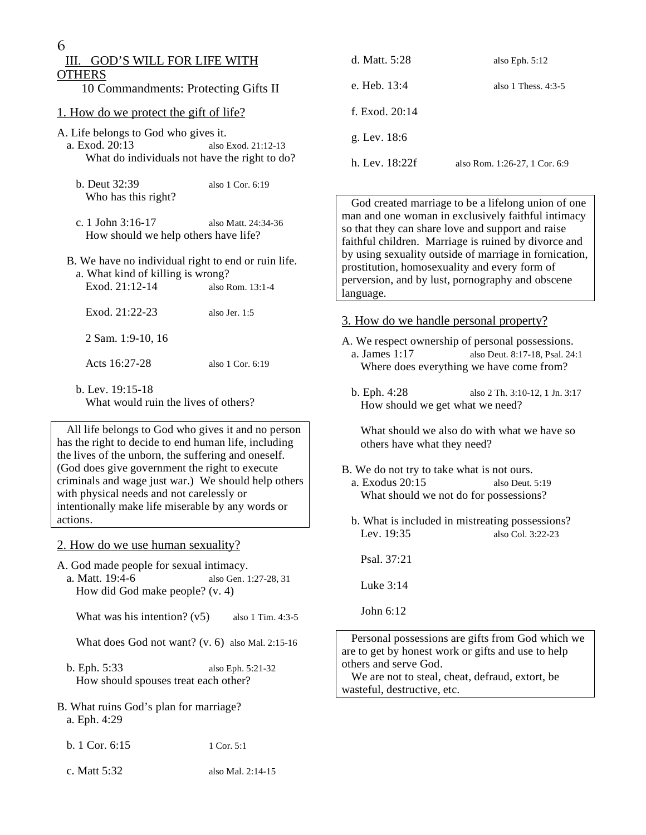| 6                                                                                                                                                                                                       |                                                      |                                                                                                                                                                                                                       |
|---------------------------------------------------------------------------------------------------------------------------------------------------------------------------------------------------------|------------------------------------------------------|-----------------------------------------------------------------------------------------------------------------------------------------------------------------------------------------------------------------------|
| <b>GOD'S WILL FOR LIFE WITH</b><br>Ш.<br><b>OTHERS</b>                                                                                                                                                  | d. Matt. 5:28                                        | also Eph. 5:12                                                                                                                                                                                                        |
| 10 Commandments: Protecting Gifts II                                                                                                                                                                    | e. Heb. 13:4                                         | also 1 Thess. 4:3-5                                                                                                                                                                                                   |
| 1. How do we protect the gift of life?                                                                                                                                                                  | f. Exod. 20:14                                       |                                                                                                                                                                                                                       |
| A. Life belongs to God who gives it.<br>a. Exod. 20:13<br>also Exod. 21:12-13                                                                                                                           | g. Lev. 18:6                                         |                                                                                                                                                                                                                       |
| What do individuals not have the right to do?                                                                                                                                                           | h. Lev. 18:22f                                       | also Rom. 1:26-27, 1 Cor. 6:9                                                                                                                                                                                         |
| b. Deut 32:39<br>also 1 Cor. 6:19<br>Who has this right?                                                                                                                                                |                                                      |                                                                                                                                                                                                                       |
| c. 1 John 3:16-17<br>also Matt. 24:34-36<br>How should we help others have life?                                                                                                                        |                                                      | God created marriage to be a lifelong union of one<br>man and one woman in exclusively faithful intimacy<br>so that they can share love and support and raise<br>faithful children. Marriage is ruined by divorce and |
| B. We have no individual right to end or ruin life.<br>a. What kind of killing is wrong?<br>Exod. 21:12-14<br>also Rom. 13:1-4                                                                          | language.                                            | by using sexuality outside of marriage in fornication,<br>prostitution, homosexuality and every form of<br>perversion, and by lust, pornography and obscene                                                           |
| Exod. 21:22-23<br>also Jer. 1:5                                                                                                                                                                         |                                                      | 3. How do we handle personal property?                                                                                                                                                                                |
| 2 Sam. 1:9-10, 16                                                                                                                                                                                       |                                                      | A. We respect ownership of personal possessions.                                                                                                                                                                      |
| Acts 16:27-28<br>also 1 Cor. 6:19                                                                                                                                                                       | a. James 1:17                                        | also Deut. 8:17-18, Psal. 24:1<br>Where does everything we have come from?                                                                                                                                            |
| b. Lev. 19:15-18<br>What would ruin the lives of others?                                                                                                                                                | b. Eph. 4:28                                         | also 2 Th. 3:10-12, 1 Jn. 3:17<br>How should we get what we need?                                                                                                                                                     |
| All life belongs to God who gives it and no person<br>has the right to decide to end human life, including<br>the lives of the unborn, the suffering and oneself.                                       | others have what they need?                          | What should we also do with what we have so                                                                                                                                                                           |
| (God does give government the right to execute<br>criminals and wage just war.) We should help others<br>with physical needs and not carelessly or<br>intentionally make life miserable by any words or | a. Exodus 20:15                                      | B. We do not try to take what is not ours.<br>also Deut. 5:19<br>What should we not do for possessions?                                                                                                               |
| actions.                                                                                                                                                                                                | Lev. 19:35                                           | b. What is included in mistreating possessions?<br>also Col. 3:22-23                                                                                                                                                  |
| 2. How do we use human sexuality?                                                                                                                                                                       |                                                      |                                                                                                                                                                                                                       |
| A. God made people for sexual intimacy.                                                                                                                                                                 | Psal. 37:21                                          |                                                                                                                                                                                                                       |
| a. Matt. 19:4-6<br>also Gen. 1:27-28, 31<br>How did God make people? (v. 4)                                                                                                                             | Luke 3:14                                            |                                                                                                                                                                                                                       |
| What was his intention? $(v5)$<br>also 1 Tim. 4:3-5                                                                                                                                                     | John 6:12                                            |                                                                                                                                                                                                                       |
| What does God not want? $(v. 6)$ also Mal. 2:15-16                                                                                                                                                      |                                                      | Personal possessions are gifts from God which we<br>are to get by honest work or gifts and use to help                                                                                                                |
| b. Eph. 5:33<br>also Eph. 5:21-32<br>How should spouses treat each other?                                                                                                                               | others and serve God.<br>wasteful, destructive, etc. | We are not to steal, cheat, defraud, extort, be                                                                                                                                                                       |
| B. What ruins God's plan for marriage?<br>a. Eph. 4:29                                                                                                                                                  |                                                      |                                                                                                                                                                                                                       |
| b. 1 Cor. 6:15<br>1 Cor. 5:1                                                                                                                                                                            |                                                      |                                                                                                                                                                                                                       |
| c. Matt 5:32<br>also Mal. 2:14-15                                                                                                                                                                       |                                                      |                                                                                                                                                                                                                       |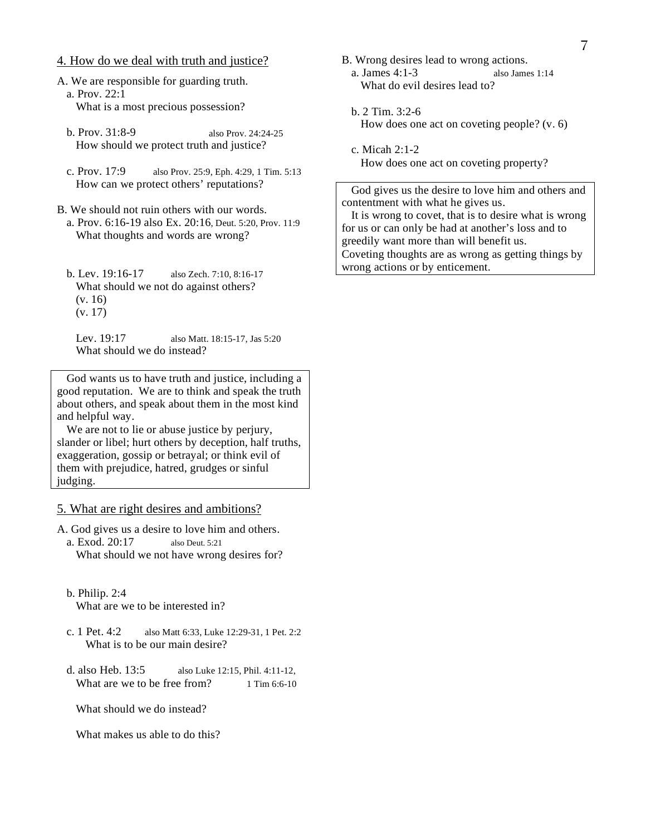- 4. How do we deal with truth and justice?
- A. We are responsible for guarding truth. a. Prov. 22:1 What is a most precious possession?
	- b. Prov. 31:8-9 also Prov. 24:24-25 How should we protect truth and justice?
	- c. Prov. 17:9 also Prov. 25:9, Eph. 4:29, 1 Tim. 5:13 How can we protect others' reputations?
- B. We should not ruin others with our words.
	- a. Prov. 6:16-19 also Ex. 20:16, Deut. 5:20, Prov. 11:9 What thoughts and words are wrong?
	- b. Lev. 19:16-17 also Zech. 7:10, 8:16-17 What should we not do against others? (v. 16) (v. 17)

 Lev. 19:17 also Matt. 18:15-17, Jas 5:20 What should we do instead?

 God wants us to have truth and justice, including a good reputation. We are to think and speak the truth about others, and speak about them in the most kind and helpful way.

 We are not to lie or abuse justice by perjury, slander or libel; hurt others by deception, half truths, exaggeration, gossip or betrayal; or think evil of them with prejudice, hatred, grudges or sinful judging.

#### 5. What are right desires and ambitions?

- A. God gives us a desire to love him and others. a. Exod. 20:17 also Deut. 5:21
	- What should we not have wrong desires for?
	- b. Philip. 2:4

What are we to be interested in?

- c. 1 Pet. 4:2 also Matt 6:33, Luke 12:29-31, 1 Pet. 2:2 What is to be our main desire?
- d. also Heb. 13:5 also Luke 12:15, Phil. 4:11-12, What are we to be free from?  $1$  Tim 6:6-10

What should we do instead?

What makes us able to do this?

- B. Wrong desires lead to wrong actions. a. James 4:1-3 also James 1:14 What do evil desires lead to?
	- b. 2 Tim. 3:2-6 How does one act on coveting people? (v. 6)
	- c. Micah 2:1-2 How does one act on coveting property?

 God gives us the desire to love him and others and contentment with what he gives us.

 It is wrong to covet, that is to desire what is wrong for us or can only be had at another's loss and to greedily want more than will benefit us. Coveting thoughts are as wrong as getting things by wrong actions or by enticement.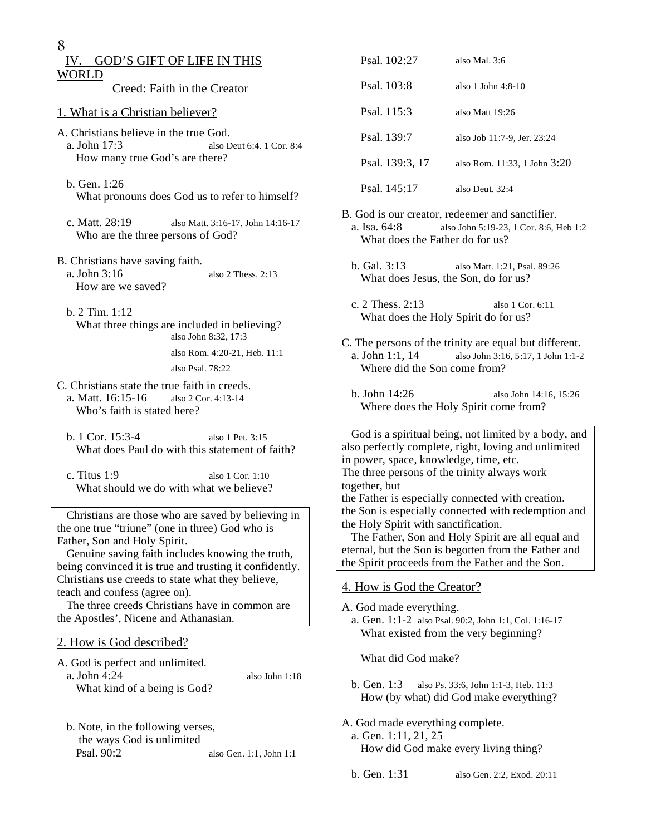| 8                                                                                                                                     |                              |  |
|---------------------------------------------------------------------------------------------------------------------------------------|------------------------------|--|
| IV. GOD'S GIFT OF LIFE IN THIS                                                                                                        |                              |  |
| <b>WORLD</b><br>Creed: Faith in the Creator                                                                                           |                              |  |
|                                                                                                                                       |                              |  |
| 1. What is a Christian believer?                                                                                                      |                              |  |
| A. Christians believe in the true God.<br>a. John 17:3<br>also Deut 6:4. 1 Cor. 8:4<br>How many true God's are there?                 |                              |  |
| b. Gen. 1:26<br>What pronouns does God us to refer to himself?                                                                        |                              |  |
| c. Matt. 28:19<br>also Matt. 3:16-17, John 14:16-17<br>Who are the three persons of God?                                              | <b>B.</b> 0<br>a             |  |
| B. Christians have saving faith.<br>a. John 3:16<br>also $2$ Thess. $2:13$<br>How are we saved?                                       | $\mathbf b$                  |  |
| $b. 2$ Tim. $1:12$<br>What three things are included in believing?<br>also John 8:32, 17:3                                            | $\mathbf{C}$                 |  |
| also Rom. 4:20-21, Heb. 11:1                                                                                                          | $C^{\dagger}$                |  |
| also Psal. 78:22                                                                                                                      | a                            |  |
| C. Christians state the true faith in creeds.<br>a. Matt. 16:15-16<br>also 2 Cor. 4:13-14<br>Who's faith is stated here?              | b                            |  |
| b. 1 Cor. $15:3-4$<br>also 1 Pet. 3:15<br>What does Paul do with this statement of faith?                                             | G<br>also<br>in <sub>f</sub> |  |
| c. Titus $1:9$<br>also $1$ Cor. $1:10$<br>What should we do with what we believe?                                                     | The<br>tog<br>the            |  |
| Christians are those who are saved by believing in<br>the one true "triune" (one in three) God who is<br>Father, Son and Holy Spirit. | the<br>the<br>Τ              |  |
| Genuine saving faith includes knowing the truth,                                                                                      | etei                         |  |
| the<br>being convinced it is true and trusting it confidently.                                                                        |                              |  |
| Christians use creeds to state what they believe,<br>teach and confess (agree on).<br>The three creeds Christians have in common are  | 4. J<br>А.                   |  |
| the Apostles', Nicene and Athanasian.                                                                                                 | a                            |  |
| 2. How is God described?                                                                                                              |                              |  |
| A. God is perfect and unlimited.<br>a. John 4:24<br>also John 1:18<br>What kind of a being is God?                                    | $\mathbf b$                  |  |
| b. Note, in the following verses,<br>the ways God is unlimited<br>Psal. 90:2<br>also Gen. 1:1, John 1:1                               | $\mathsf{A}_{\cdot}$<br>a    |  |

| Psal. $102:27$                                                                                                                               | also Mal. $3:6$              |  |
|----------------------------------------------------------------------------------------------------------------------------------------------|------------------------------|--|
| Psal. 103:8                                                                                                                                  | also 1 John 4:8-10           |  |
| Psal. 115:3                                                                                                                                  | also Matt 19:26              |  |
| Psal. 139:7                                                                                                                                  | also Job 11:7-9, Jer. 23:24  |  |
| Psal. 139:3, 17                                                                                                                              | also Rom. 11:33, 1 John 3:20 |  |
| Psal. 145:17                                                                                                                                 | also Deut. 32:4              |  |
| B. God is our creator, redeemer and sanctifier.<br>a. Isa. 64:8<br>also John 5:19-23, 1 Cor. 8:6, Heb 1:2<br>What does the Father do for us? |                              |  |

- b. Gal. 3:13 also Matt. 1:21, Psal. 89:26 What does Jesus, the Son, do for us?
- c. 2 Thess. 2:13 also 1 Cor. 6:11 What does the Holy Spirit do for us?
- The persons of the trinity are equal but different. a. John 1:1, 14 also John 3:16, 5:17, 1 John 1:1-2 Where did the Son come from?
- b. John 14:26 also John 14:16, 15:26 Where does the Holy Spirit come from?

 God is a spiritual being, not limited by a body, and o perfectly complete, right, loving and unlimited bower, space, knowledge, time, etc. e three persons of the trinity always work ether, but Father is especially connected with creation. Son is especially connected with redemption and Holy Spirit with sanctification. The Father, Son and Holy Spirit are all equal and rnal, but the Son is begotten from the Father and Spirit proceeds from the Father and the Son.

#### How is God the Creator?

God made everything.

 a. Gen. 1:1-2 also Psal. 90:2, John 1:1, Col. 1:16-17 What existed from the very beginning?

What did God make?

 b. Gen. 1:3 also Ps. 33:6, John 1:1-3, Heb. 11:3 How (by what) did God make everything?

God made everything complete. a. Gen. 1:11, 21, 25 How did God make every living thing?

b. Gen. 1:31 also Gen. 2:2, Exod. 20:11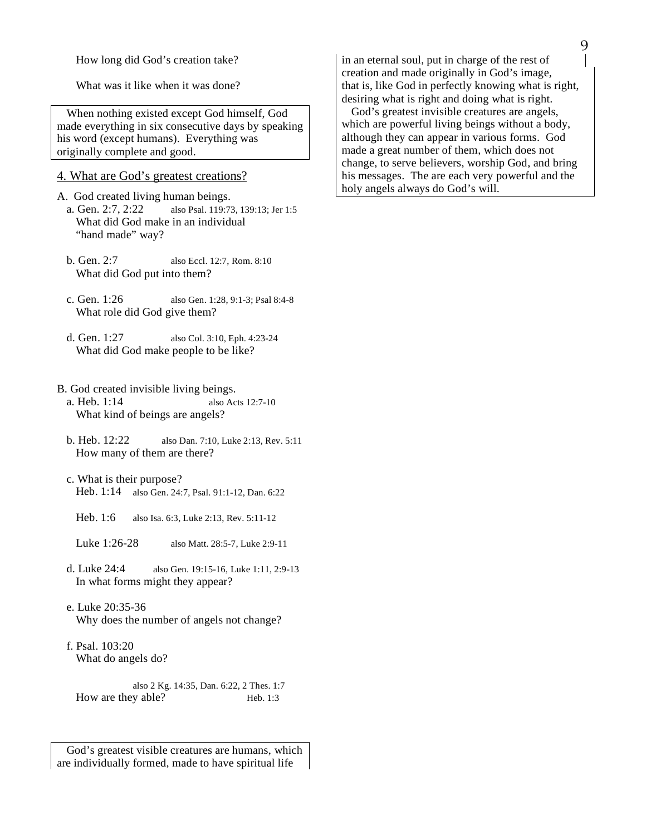How long did God's creation take?

What was it like when it was done?

 When nothing existed except God himself, God made everything in six consecutive days by speaking his word (except humans). Everything was originally complete and good.

#### 4. What are God's greatest creations?

- A. God created living human beings.
	- a. Gen. 2:7, 2:22 also Psal. 119:73, 139:13; Jer 1:5 What did God make in an individual "hand made" way?
	- b. Gen. 2:7 also Eccl. 12:7, Rom. 8:10 What did God put into them?
	- c. Gen. 1:26 also Gen. 1:28, 9:1-3; Psal 8:4-8 What role did God give them?
	- d. Gen. 1:27 also Col. 3:10, Eph. 4:23-24 What did God make people to be like?
- B. God created invisible living beings.
	- a. Heb. 1:14 also Acts 12:7-10 What kind of beings are angels?
	- b. Heb. 12:22 also Dan. 7:10, Luke 2:13, Rev. 5:11 How many of them are there?
	- c. What is their purpose? Heb. 1:14 also Gen. 24:7, Psal. 91:1-12, Dan. 6:22
		- Heb. 1:6 also Isa. 6:3, Luke 2:13, Rev. 5:11-12
		- Luke 1:26-28 also Matt. 28:5-7, Luke 2:9-11
	- d. Luke 24:4 also Gen. 19:15-16, Luke 1:11, 2:9-13 In what forms might they appear?
	- e. Luke 20:35-36 Why does the number of angels not change?
	- f. Psal. 103:20 What do angels do?

 also 2 Kg. 14:35, Dan. 6:22, 2 Thes. 1:7 How are they able? Heb. 1:3

 God's greatest visible creatures are humans, which are individually formed, made to have spiritual life

in an eternal soul, put in charge of the rest of creation and made originally in God's image, that is, like God in perfectly knowing what is right, desiring what is right and doing what is right.

 God's greatest invisible creatures are angels, which are powerful living beings without a body, although they can appear in various forms. God made a great number of them, which does not change, to serve believers, worship God, and bring his messages. The are each very powerful and the holy angels always do God's will.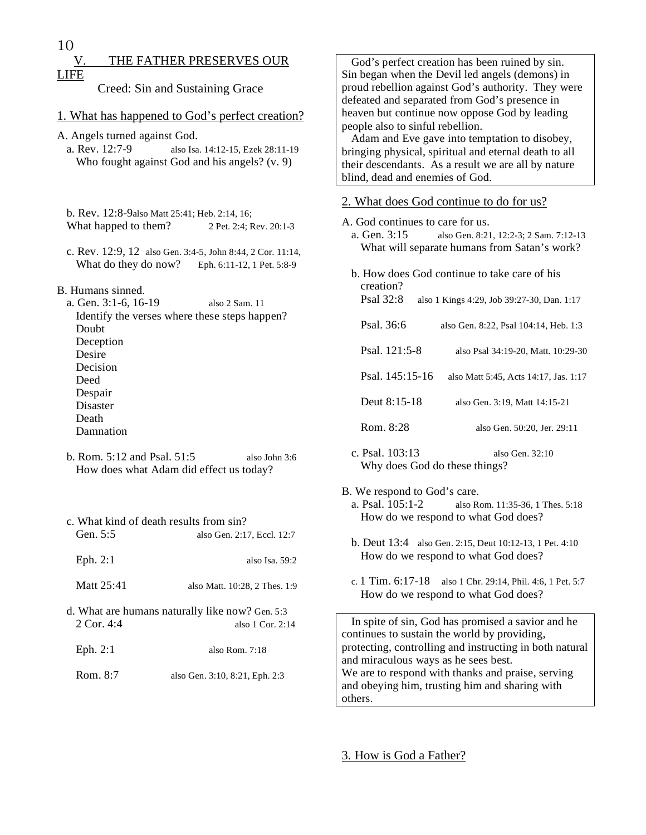10

| .    |                             |
|------|-----------------------------|
|      | V. THE FATHER PRESERVES OUR |
| LIFE |                             |

#### Creed: Sin and Sustaining Grace

#### 1. What has happened to God's perfect creation?

- A. Angels turned against God.
- a. Rev. 12:7-9 also Isa. 14:12-15, Ezek 28:11-19 Who fought against God and his angels? (v. 9)

 b. Rev. 12:8-9also Matt 25:41; Heb. 2:14, 16; What happed to them? 2 Pet. 2:4; Rev. 20:1-3

 c. Rev. 12:9, 12 also Gen. 3:4-5, John 8:44, 2 Cor. 11:14, What do they do now? Eph. 6:11-12, 1 Pet. 5:8-9

B. Humans sinned.

- a. Gen. 3:1-6, 16-19 also 2 Sam. 11 Identify the verses where these steps happen? Doubt Deception Desire Decision Deed Despair Disaster Death Damnation
- b. Rom. 5:12 and Psal. 51:5 also John 3:6 How does what Adam did effect us today?
- c. What kind of death results from sin? Gen. 5:5 also Gen. 2:17, Eccl. 12:7 Eph. 2:1 also Isa. 59:2 Matt 25:41 also Matt. 10:28, 2 Thes. 1:9 d. What are humans naturally like now? Gen. 5:3 2 Cor. 4:4 also 1 Cor. 2:14 Eph. 2:1 also Rom. 7:18 Rom. 8:7 also Gen. 3:10, 8:21, Eph. 2:3

 God's perfect creation has been ruined by sin. Sin began when the Devil led angels (demons) in proud rebellion against God's authority. They were defeated and separated from God's presence in heaven but continue now oppose God by leading people also to sinful rebellion.

 Adam and Eve gave into temptation to disobey, bringing physical, spiritual and eternal death to all their descendants. As a result we are all by nature blind, dead and enemies of God.

#### 2. What does God continue to do for us?

A. God continues to care for us.

- a. Gen. 3:15 also Gen. 8:21, 12:2-3; 2 Sam. 7:12-13 What will separate humans from Satan's work?
- b. How does God continue to take care of his creation? Psal 32:8 also 1 Kings 4:29, Job 39:27-30, Dan. 1:17
	- Psal. 36:6 also Gen. 8:22, Psal 104:14, Heb. 1:3
	- Psal. 121:5-8 also Psal 34:19-20, Matt. 10:29-30
	- Psal. 145:15-16 also Matt 5:45, Acts 14:17, Jas. 1:17
	- Deut 8:15-18 also Gen. 3:19, Matt 14:15-21
	- Rom. 8:28 also Gen. 50:20, Jer. 29:11
- c. Psal. 103:13 also Gen. 32:10 Why does God do these things?

B. We respond to God's care.

- a. Psal. 105:1-2 also Rom. 11:35-36, 1 Thes. 5:18 How do we respond to what God does?
- b. Deut 13:4 also Gen. 2:15, Deut 10:12-13, 1 Pet. 4:10 How do we respond to what God does?
- c. 1 Tim. 6:17-18 also 1 Chr. 29:14, Phil. 4:6, 1 Pet. 5:7 How do we respond to what God does?

 In spite of sin, God has promised a savior and he continues to sustain the world by providing, protecting, controlling and instructing in both natural and miraculous ways as he sees best. We are to respond with thanks and praise, serving and obeying him, trusting him and sharing with others.

3. How is God a Father?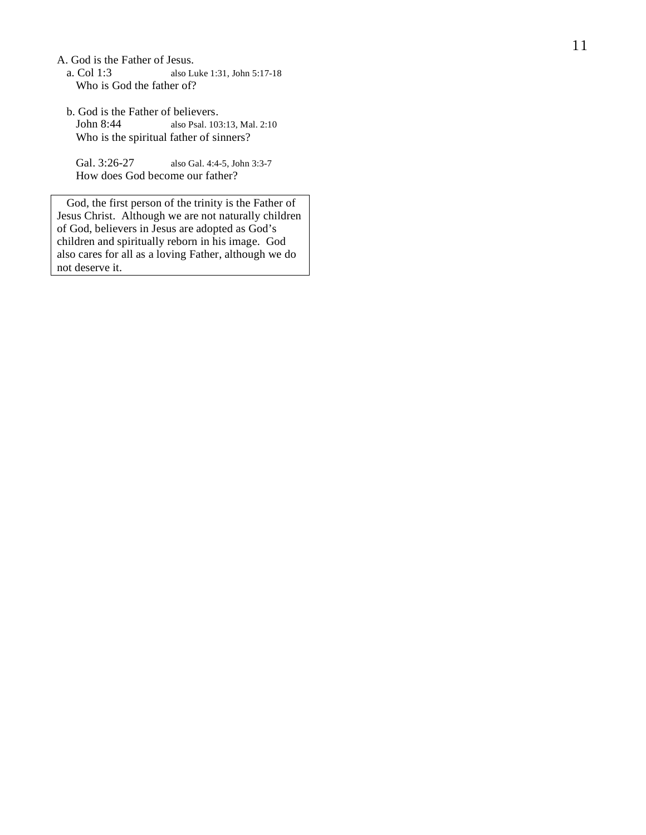A. God is the Father of Jesus.

 a. Col 1:3 also Luke 1:31, John 5:17-18 Who is God the father of?

 b. God is the Father of believers. John 8:44 also Psal. 103:13, Mal. 2:10 Who is the spiritual father of sinners?

Gal. 3:26-27 also Gal. 4:4-5, John 3:3-7 How does God become our father?

 God, the first person of the trinity is the Father of Jesus Christ. Although we are not naturally children of God, believers in Jesus are adopted as God's children and spiritually reborn in his image. God also cares for all as a loving Father, although we do not deserve it.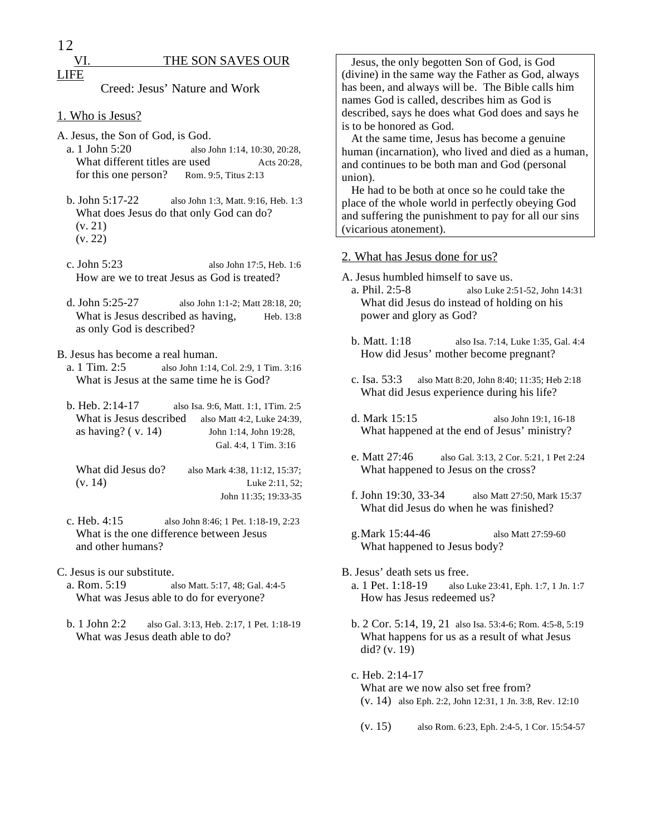# Creed: Jesus' Nature and Work

#### 1. Who is Jesus?

- A. Jesus, the Son of God, is God. a. 1 John 5:20 also John 1:14, 10:30, 20:28, What different titles are used  $Acts 20:28$ . for this one person? Rom. 9:5, Titus 2:13
	- b. John 5:17-22 also John 1:3, Matt. 9:16, Heb. 1:3 What does Jesus do that only God can do? (v. 21) (v. 22)
	- c. John 5:23 also John 17:5, Heb. 1:6 How are we to treat Jesus as God is treated?
	- d. John 5:25-27 also John 1:1-2; Matt 28:18, 20; What is Jesus described as having, Heb. 13:8 as only God is described?
- B. Jesus has become a real human.
	- a. 1 Tim. 2:5 also John 1:14, Col. 2:9, 1 Tim. 3:16 What is Jesus at the same time he is God?
	- b. Heb. 2:14-17 also Isa. 9:6, Matt. 1:1, 1Tim. 2:5 What is Jesus described also Matt 4:2, Luke 24:39, as having? ( v. 14) John 1:14, John 19:28, Gal. 4:4, 1 Tim. 3:16

| What did Jesus do? | also Mark 4:38, 11:12, 15:37: |
|--------------------|-------------------------------|
| (v. 14)            | Luke $2:11.52$ :              |
|                    | John 11:35; 19:33-35          |

- c. Heb. 4:15 also John 8:46; 1 Pet. 1:18-19, 2:23 What is the one difference between Jesus and other humans?
- C. Jesus is our substitute.
	- a. Rom. 5:19 also Matt. 5:17, 48; Gal. 4:4-5 What was Jesus able to do for everyone?
	- b. 1 John 2:2 also Gal. 3:13, Heb. 2:17, 1 Pet. 1:18-19 What was Jesus death able to do?

 Jesus, the only begotten Son of God, is God (divine) in the same way the Father as God, always has been, and always will be. The Bible calls him names God is called, describes him as God is described, says he does what God does and says he is to be honored as God.

 At the same time, Jesus has become a genuine human (incarnation), who lived and died as a human, and continues to be both man and God (personal union).

 He had to be both at once so he could take the place of the whole world in perfectly obeying God and suffering the punishment to pay for all our sins (vicarious atonement).

# 2. What has Jesus done for us?

- A. Jesus humbled himself to save us.
- a. Phil. 2:5-8 also Luke 2:51-52, John 14:31 What did Jesus do instead of holding on his power and glory as God?
- b. Matt. 1:18 also Isa. 7:14, Luke 1:35, Gal. 4:4 How did Jesus' mother become pregnant?
- c. Isa. 53:3 also Matt 8:20, John 8:40; 11:35; Heb 2:18 What did Jesus experience during his life?
- d. Mark 15:15 also John 19:1, 16-18 What happened at the end of Jesus' ministry?
- e. Matt 27:46 also Gal. 3:13, 2 Cor. 5:21, 1 Pet 2:24 What happened to Jesus on the cross?
- f. John 19:30, 33-34 also Matt 27:50, Mark 15:37 What did Jesus do when he was finished?
- g. Mark 15:44-46 also Matt 27:59-60 What happened to Jesus body?
- B. Jesus' death sets us free. a. 1 Pet. 1:18-19 also Luke 23:41, Eph. 1:7, 1 Jn. 1:7 How has Jesus redeemed us?
	- b. 2 Cor. 5:14, 19, 21 also Isa. 53:4-6; Rom. 4:5-8, 5:19 What happens for us as a result of what Jesus did? (v. 19)
	- c. Heb. 2:14-17 What are we now also set free from? (v. 14) also Eph. 2:2, John 12:31, 1 Jn. 3:8, Rev. 12:10
		- (v. 15) also Rom. 6:23, Eph. 2:4-5, 1 Cor. 15:54-57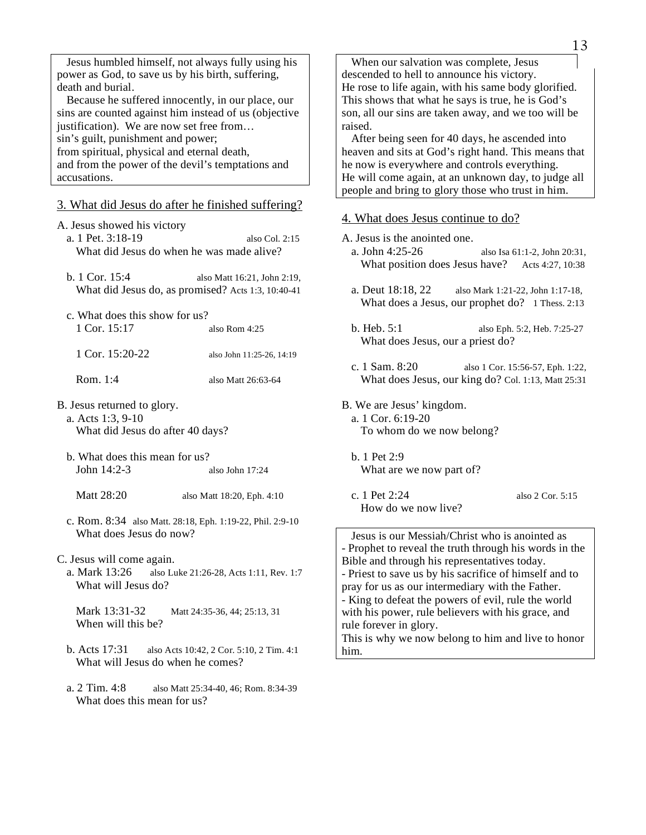Jesus humbled himself, not always fully using his power as God, to save us by his birth, suffering, death and burial.

 Because he suffered innocently, in our place, our sins are counted against him instead of us (objective justification). We are now set free from… sin's guilt, punishment and power; from spiritual, physical and eternal death, and from the power of the devil's temptations and accusations.

#### 3. What did Jesus do after he finished suffering?

- A. Jesus showed his victory a. 1 Pet. 3:18-19 also Col. 2:15 What did Jesus do when he was made alive?
	- b. 1 Cor. 15:4 also Matt 16:21, John 2:19, What did Jesus do, as promised? Acts 1:3, 10:40-41
	- c. What does this show for us? 1 Cor. 15:17 also Rom 4:25
		- 1 Cor. 15:20-22 also John 11:25-26, 14:19
		- Rom. 1:4 also Matt 26:63-64
- B. Jesus returned to glory.
	- a. Acts 1:3, 9-10 What did Jesus do after 40 days?
	- b. What does this mean for us? John 14:2-3 also John 17:24
		- Matt 28:20 also Matt 18:20, Eph. 4:10
	- c. Rom. 8:34 also Matt. 28:18, Eph. 1:19-22, Phil. 2:9-10 What does Jesus do now?

#### C. Jesus will come again.

 a. Mark 13:26 also Luke 21:26-28, Acts 1:11, Rev. 1:7 What will Jesus do?

 Mark 13:31-32 Matt 24:35-36, 44; 25:13, 31 When will this be?

- b. Acts 17:31 also Acts 10:42, 2 Cor. 5:10, 2 Tim. 4:1 What will Jesus do when he comes?
- a. 2 Tim. 4:8 also Matt 25:34-40, 46; Rom. 8:34-39 What does this mean for us?

 When our salvation was complete, Jesus descended to hell to announce his victory. He rose to life again, with his same body glorified. This shows that what he says is true, he is God's son, all our sins are taken away, and we too will be raised.

 After being seen for 40 days, he ascended into heaven and sits at God's right hand. This means that he now is everywhere and controls everything. He will come again, at an unknown day, to judge all people and bring to glory those who trust in him.

#### 4. What does Jesus continue to do?

- A. Jesus is the anointed one.
- a. John 4:25-26 also Isa 61:1-2, John 20:31, What position does Jesus have? Acts 4:27, 10:38
- a. Deut 18:18, 22 also Mark 1:21-22, John 1:17-18, What does a Jesus, our prophet do? 1 Thess. 2:13
- b. Heb. 5:1 also Eph. 5:2, Heb. 7:25-27 What does Jesus, our a priest do?
- c. 1 Sam. 8:20 also 1 Cor. 15:56-57, Eph. 1:22, What does Jesus, our king do? Col. 1:13, Matt 25:31

B. We are Jesus' kingdom.

 a. 1 Cor. 6:19-20 To whom do we now belong?

 b. 1 Pet 2:9 What are we now part of?

 c. 1 Pet 2:24 also 2 Cor. 5:15 How do we now live?

 Jesus is our Messiah/Christ who is anointed as - Prophet to reveal the truth through his words in the Bible and through his representatives today. - Priest to save us by his sacrifice of himself and to pray for us as our intermediary with the Father. - King to defeat the powers of evil, rule the world with his power, rule believers with his grace, and rule forever in glory. This is why we now belong to him and live to honor him.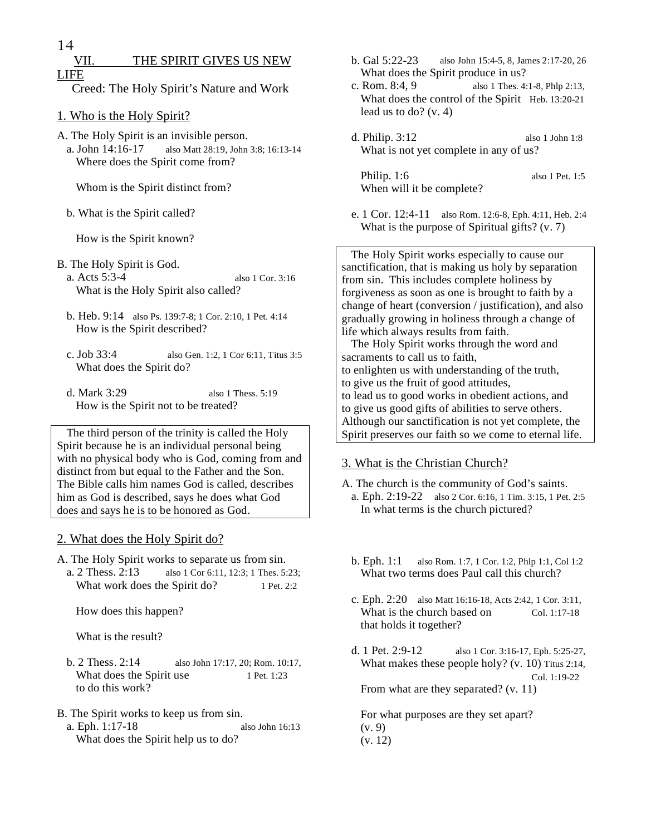Creed: The Holy Spirit's Nature and Work

## 1. Who is the Holy Spirit?

- A. The Holy Spirit is an invisible person.
- a. John 14:16-17 also Matt 28:19, John 3:8; 16:13-14 Where does the Spirit come from?

Whom is the Spirit distinct from?

b. What is the Spirit called?

How is the Spirit known?

- B. The Holy Spirit is God.
	- a. Acts 5:3-4 also 1 Cor. 3:16 What is the Holy Spirit also called?
	- b. Heb. 9:14 also Ps. 139:7-8; 1 Cor. 2:10, 1 Pet. 4:14 How is the Spirit described?
	- c. Job 33:4 also Gen. 1:2, 1 Cor 6:11, Titus 3:5 What does the Spirit do?
	- d. Mark 3:29 also 1 Thess. 5:19 How is the Spirit not to be treated?

 The third person of the trinity is called the Holy Spirit because he is an individual personal being with no physical body who is God, coming from and distinct from but equal to the Father and the Son. The Bible calls him names God is called, describes him as God is described, says he does what God does and says he is to be honored as God.

# 2. What does the Holy Spirit do?

- A. The Holy Spirit works to separate us from sin.
	- a. 2 Thess. 2:13 also 1 Cor 6:11, 12:3; 1 Thes. 5:23; What work does the Spirit do? 1 Pet. 2:2

How does this happen?

What is the result?

- b. 2 Thess. 2:14 also John 17:17, 20; Rom. 10:17, What does the Spirit use 1 Pet. 1:23 to do this work?
- B. The Spirit works to keep us from sin.
	- a. Eph. 1:17-18 also John 16:13 What does the Spirit help us to do?
- b. Gal 5:22-23 also John 15:4-5, 8, James 2:17-20, 26 What does the Spirit produce in us?
- c. Rom. 8:4, 9 also 1 Thes. 4:1-8, Phlp 2:13, What does the control of the Spirit Heb. 13:20-21 lead us to do? (v. 4)
- d. Philip. 3:12 also 1 John 1:8 What is not yet complete in any of us?

Philip. 1:6 also 1 Pet. 1:5 When will it be complete?

 e. 1 Cor. 12:4-11 also Rom. 12:6-8, Eph. 4:11, Heb. 2:4 What is the purpose of Spiritual gifts? (v. 7)

 The Holy Spirit works especially to cause our sanctification, that is making us holy by separation from sin. This includes complete holiness by forgiveness as soon as one is brought to faith by a change of heart (conversion / justification), and also gradually growing in holiness through a change of life which always results from faith.

 The Holy Spirit works through the word and sacraments to call us to faith, to enlighten us with understanding of the truth, to give us the fruit of good attitudes, to lead us to good works in obedient actions, and to give us good gifts of abilities to serve others. Although our sanctification is not yet complete, the Spirit preserves our faith so we come to eternal life.

# 3. What is the Christian Church?

A. The church is the community of God's saints.

- a. Eph. 2:19-22 also 2 Cor. 6:16, 1 Tim. 3:15, 1 Pet. 2:5 In what terms is the church pictured?
- b. Eph. 1:1 also Rom. 1:7, 1 Cor. 1:2, Phlp 1:1, Col 1:2 What two terms does Paul call this church?
- c. Eph. 2:20 also Matt 16:16-18, Acts 2:42, 1 Cor. 3:11, What is the church based on Col. 1:17-18 that holds it together?
- d. 1 Pet. 2:9-12 also 1 Cor. 3:16-17, Eph. 5:25-27, What makes these people holy? (v. 10) Titus 2:14, Col. 1:19-22 From what are they separated? (v. 11)

 For what purposes are they set apart? (v. 9) (v. 12)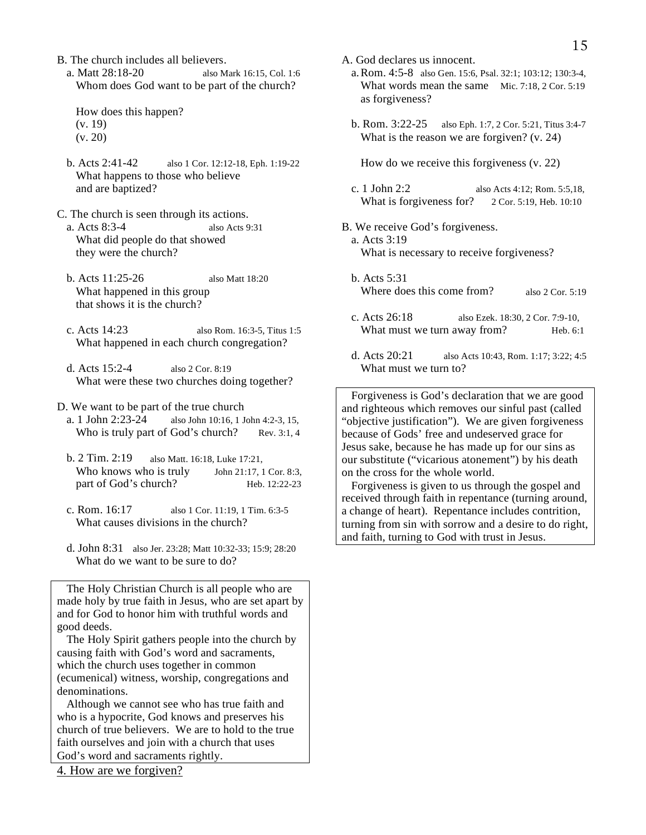- B. The church includes all believers.
	- a. Matt 28:18-20 also Mark 16:15, Col. 1:6 Whom does God want to be part of the church?

 How does this happen? (v. 19) (v. 20)

- b. Acts 2:41-42 also 1 Cor. 12:12-18, Eph. 1:19-22 What happens to those who believe and are baptized?
- C. The church is seen through its actions. a. Acts 8:3-4 also Acts 9:31 What did people do that showed they were the church?
	- b. Acts 11:25-26 also Matt 18:20 What happened in this group that shows it is the church?
	- c. Acts 14:23 also Rom. 16:3-5, Titus 1:5 What happened in each church congregation?
	- d. Acts 15:2-4 also 2 Cor. 8:19 What were these two churches doing together?
- D. We want to be part of the true church
	- a. 1 John 2:23-24 also John 10:16, 1 John 4:2-3, 15, Who is truly part of God's church? Rev.  $3:1, 4$
	- b. 2 Tim. 2:19 also Matt. 16:18, Luke 17:21, Who knows who is truly John 21:17, 1 Cor. 8:3, part of God's church? Heb. 12:22-23
	- c. Rom. 16:17 also 1 Cor. 11:19, 1 Tim. 6:3-5 What causes divisions in the church?
	- d. John 8:31 also Jer. 23:28; Matt 10:32-33; 15:9; 28:20 What do we want to be sure to do?

 The Holy Christian Church is all people who are made holy by true faith in Jesus, who are set apart by and for God to honor him with truthful words and good deeds.

 The Holy Spirit gathers people into the church by causing faith with God's word and sacraments, which the church uses together in common (ecumenical) witness, worship, congregations and denominations.

 Although we cannot see who has true faith and who is a hypocrite, God knows and preserves his church of true believers. We are to hold to the true faith ourselves and join with a church that uses God's word and sacraments rightly.

4. How are we forgiven?

- A. God declares us innocent.
	- a. Rom. 4:5-8 also Gen. 15:6, Psal. 32:1; 103:12; 130:3-4, What words mean the same Mic. 7:18, 2 Cor. 5:19 as forgiveness?
	- b. Rom. 3:22-25 also Eph. 1:7, 2 Cor. 5:21, Titus 3:4-7 What is the reason we are forgiven? (v. 24)

How do we receive this forgiveness (v. 22)

- c. 1 John 2:2 also Acts 4:12; Rom. 5:5,18, What is forgiveness for? 2 Cor. 5:19, Heb. 10:10
- B. We receive God's forgiveness.
	- a. Acts 3:19 What is necessary to receive forgiveness?
	- b. Acts 5:31 Where does this come from? also 2 Cor. 5:19
	- c. Acts 26:18 also Ezek. 18:30, 2 Cor. 7:9-10, What must we turn away from? Heb. 6:1
	- d. Acts 20:21 also Acts 10:43, Rom. 1:17; 3:22; 4:5 What must we turn to?

 Forgiveness is God's declaration that we are good and righteous which removes our sinful past (called "objective justification"). We are given forgiveness because of Gods' free and undeserved grace for Jesus sake, because he has made up for our sins as our substitute ("vicarious atonement") by his death on the cross for the whole world.

 Forgiveness is given to us through the gospel and received through faith in repentance (turning around, a change of heart). Repentance includes contrition, turning from sin with sorrow and a desire to do right, and faith, turning to God with trust in Jesus.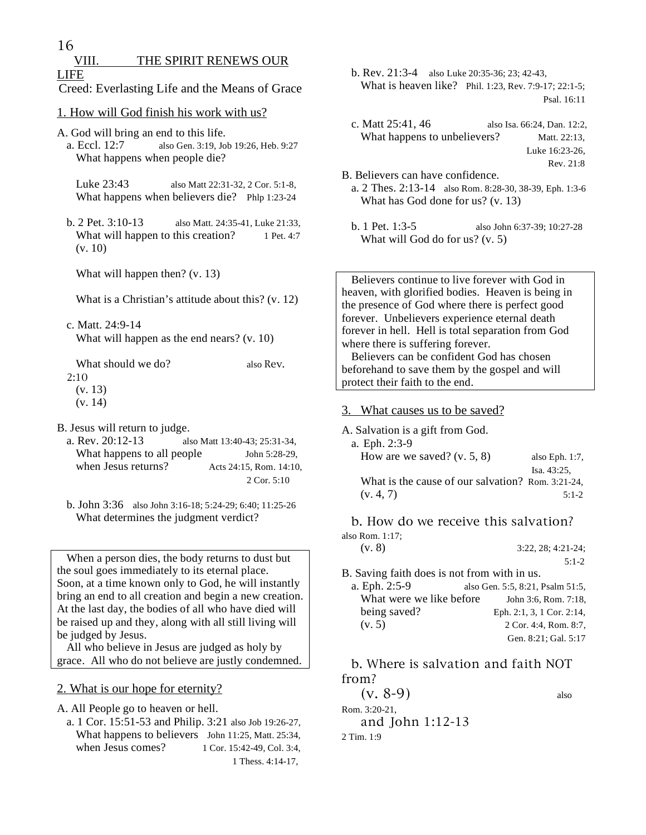16 VIII. THE SPIRIT RENEWS OUR LIFE Creed: Everlasting Life and the Means of Grace 1. How will God finish his work with us? A. God will bring an end to this life. a. Eccl. 12:7 also Gen. 3:19, Job 19:26, Heb. 9:27 What happens when people die? Luke 23:43 also Matt 22:31-32, 2 Cor. 5:1-8, What happens when believers die? Phlp 1:23-24

 b. 2 Pet. 3:10-13 also Matt. 24:35-41, Luke 21:33, What will happen to this creation? 1 Pet. 4:7 (v. 10)

What will happen then? (v. 13)

What is a Christian's attitude about this? (v. 12)

 c. Matt. 24:9-14 What will happen as the end nears? (v. 10)

| What should we do? | also Rev. |
|--------------------|-----------|
| 2:10               |           |
| (v. 13)            |           |
| (v. 14)            |           |

B. Jesus will return to judge.

- a. Rev. 20:12-13 also Matt 13:40-43; 25:31-34, What happens to all people John 5:28-29, when Jesus returns? Acts 24:15, Rom. 14:10, 2 Cor. 5:10
- b. John 3:36 also John 3:16-18; 5:24-29; 6:40; 11:25-26 What determines the judgment verdict?

 When a person dies, the body returns to dust but the soul goes immediately to its eternal place. Soon, at a time known only to God, he will instantly bring an end to all creation and begin a new creation. At the last day, the bodies of all who have died will be raised up and they, along with all still living will be judged by Jesus.

 All who believe in Jesus are judged as holy by grace. All who do not believe are justly condemned.

# 2. What is our hope for eternity?

A. All People go to heaven or hell.

 a. 1 Cor. 15:51-53 and Philip. 3:21 also Job 19:26-27, What happens to believers John 11:25, Matt. 25:34, when Jesus comes? 1 Cor. 15:42-49, Col. 3:4, 1 Thess. 4:14-17,

- b. Rev. 21:3-4 also Luke 20:35-36; 23; 42-43, What is heaven like? Phil. 1:23, Rev. 7:9-17; 22:1-5; Psal. 16:11
- c. Matt 25:41, 46 also Isa. 66:24, Dan. 12:2, What happens to unbelievers? Matt. 22:13, Luke 16:23-26, Rev. 21:8
- B. Believers can have confidence.
- a. 2 Thes. 2:13-14 also Rom. 8:28-30, 38-39, Eph. 1:3-6 What has God done for us? (v. 13)
- b. 1 Pet. 1:3-5 also John 6:37-39; 10:27-28 What will God do for us? (v. 5)

 Believers continue to live forever with God in heaven, with glorified bodies. Heaven is being in the presence of God where there is perfect good forever. Unbelievers experience eternal death forever in hell. Hell is total separation from God where there is suffering forever.

 Believers can be confident God has chosen beforehand to save them by the gospel and will protect their faith to the end.

#### 3. What causes us to be saved?

A. Salvation is a gift from God. a. Eph. 2:3-9 How are we saved?  $(v. 5, 8)$  also Eph. 1:7, Isa. 43:25, What is the cause of our salvation? Rom. 3:21-24,  $(v, 4, 7)$  5:1-2

 b. How do we receive this salvation? also Rom. 1:17;

| (v. 8)                                       | $3:22, 28; 4:21-24;$             |
|----------------------------------------------|----------------------------------|
|                                              | $5:1-2$                          |
| B. Saving faith does is not from with in us. |                                  |
| a. Eph. 2:5-9                                | also Gen. 5:5, 8:21, Psalm 51:5, |
| What were we like before                     | John 3:6, Rom. 7:18,             |
| being saved?                                 | Eph. 2:1, 3, 1 Cor. 2:14,        |
| (v. 5)                                       | 2 Cor. 4:4, Rom. 8:7,            |
|                                              | Gen. 8:21; Gal. 5:17             |

 b. Where is salvation and faith NOT from?  $(v. 8-9)$  also Rom. 3:20-21, and John 1:12-13 2 Tim. 1:9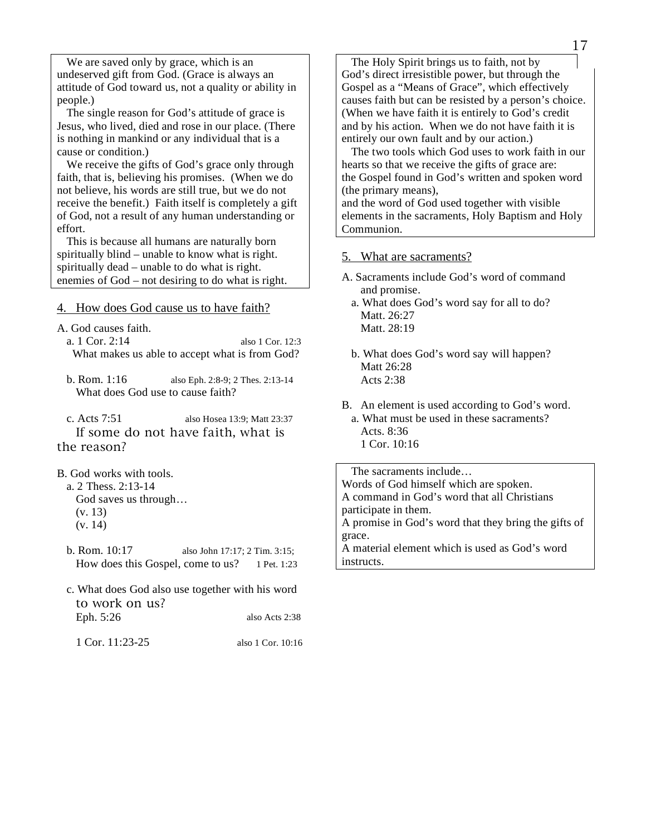We are saved only by grace, which is an undeserved gift from God. (Grace is always an attitude of God toward us, not a quality or ability in people.)

 The single reason for God's attitude of grace is Jesus, who lived, died and rose in our place. (There is nothing in mankind or any individual that is a cause or condition.)

 We receive the gifts of God's grace only through faith, that is, believing his promises. (When we do not believe, his words are still true, but we do not receive the benefit.) Faith itself is completely a gift of God, not a result of any human understanding or effort.

 This is because all humans are naturally born spiritually blind – unable to know what is right. spiritually dead – unable to do what is right. enemies of God – not desiring to do what is right.

#### 4. How does God cause us to have faith?

A. God causes faith.

 a. 1 Cor. 2:14 also 1 Cor. 12:3 What makes us able to accept what is from God?

 b. Rom. 1:16 also Eph. 2:8-9; 2 Thes. 2:13-14 What does God use to cause faith?

 c. Acts 7:51 also Hosea 13:9; Matt 23:37 If some do not have faith, what is the reason?

B. God works with tools.

 a. 2 Thess. 2:13-14 God saves us through… (v. 13) (v. 14)

- b. Rom. 10:17 also John 17:17; 2 Tim. 3:15; How does this Gospel, come to us? 1 Pet. 1:23
- c. What does God also use together with his word to work on us? Eph. 5:26 also Acts 2:38

1 Cor. 11:23-25 also 1 Cor. 10:16

The Holy Spirit brings us to faith, not by God's direct irresistible power, but through the Gospel as a "Means of Grace", which effectively causes faith but can be resisted by a person's choice. (When we have faith it is entirely to God's credit and by his action. When we do not have faith it is entirely our own fault and by our action.)

 The two tools which God uses to work faith in our hearts so that we receive the gifts of grace are: the Gospel found in God's written and spoken word (the primary means), and the word of God used together with visible

elements in the sacraments, Holy Baptism and Holy **Communion** 

# 5. What are sacraments?

- A. Sacraments include God's word of command and promise.
	- a. What does God's word say for all to do? Matt. 26:27 Matt. 28:19
	- b. What does God's word say will happen? Matt 26:28 Acts 2:38
- B. An element is used according to God's word.
- a. What must be used in these sacraments? Acts. 8:36 1 Cor. 10:16

The sacraments include…

Words of God himself which are spoken. A command in God's word that all Christians participate in them. A promise in God's word that they bring the gifts of grace. A material element which is used as God's word instructs.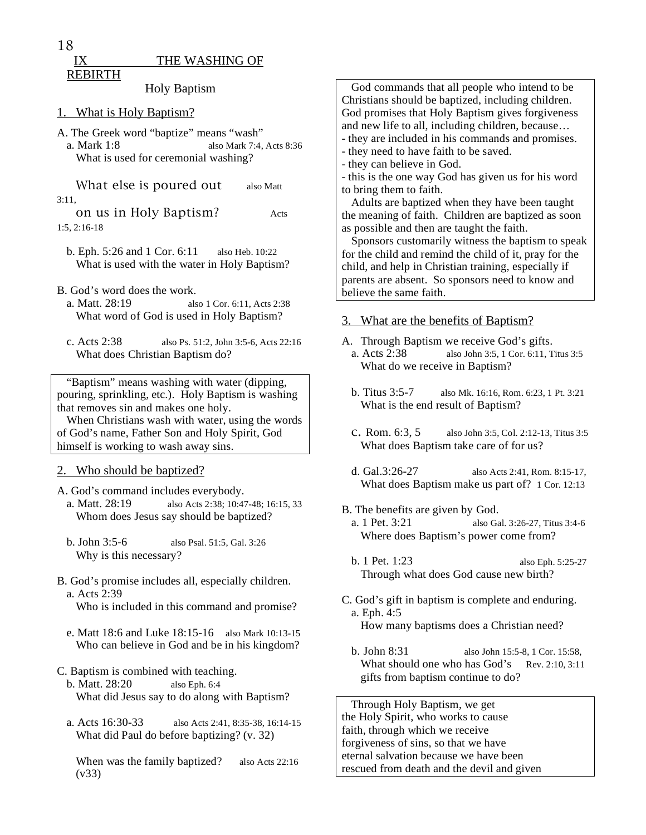#### Holy Baptism

#### 1. What is Holy Baptism?

- A. The Greek word "baptize" means "wash"
- a. Mark 1:8 also Mark 7:4, Acts 8:36 What is used for ceremonial washing?

What else is poured out also Matt 3:11,

 on us in Holy Baptism? Acts 1:5, 2:16-18

 b. Eph. 5:26 and 1 Cor. 6:11 also Heb. 10:22 What is used with the water in Holy Baptism?

B. God's word does the work.

- a. Matt. 28:19also 1 Cor. 6:11, Acts 2:38 What word of God is used in Holy Baptism?
- c. Acts 2:38 also Ps. 51:2, John 3:5-6, Acts 22:16 What does Christian Baptism do?

 "Baptism" means washing with water (dipping, pouring, sprinkling, etc.). Holy Baptism is washing that removes sin and makes one holy.

 When Christians wash with water, using the words of God's name, Father Son and Holy Spirit, God himself is working to wash away sins.

# 2. Who should be baptized?

A. God's command includes everybody.

 a. Matt. 28:19 also Acts 2:38; 10:47-48; 16:15, 33 Whom does Jesus say should be baptized?

 b. John 3:5-6 also Psal. 51:5, Gal. 3:26 Why is this necessary?

- B. God's promise includes all, especially children. a. Acts 2:39
	- Who is included in this command and promise?
	- e. Matt 18:6 and Luke 18:15-16 also Mark 10:13-15 Who can believe in God and be in his kingdom?

#### C. Baptism is combined with teaching.

- b. Matt. 28:20 also Eph. 6:4 What did Jesus say to do along with Baptism?
- a. Acts 16:30-33 also Acts 2:41, 8:35-38, 16:14-15 What did Paul do before baptizing? (v. 32)

When was the family baptized? also Acts 22:16 (v33)

 God commands that all people who intend to be Christians should be baptized, including children. God promises that Holy Baptism gives forgiveness and new life to all, including children, because…

- they are included in his commands and promises.

- they need to have faith to be saved.
- they can believe in God.

- this is the one way God has given us for his word to bring them to faith.

 Adults are baptized when they have been taught the meaning of faith. Children are baptized as soon as possible and then are taught the faith.

 Sponsors customarily witness the baptism to speak for the child and remind the child of it, pray for the child, and help in Christian training, especially if parents are absent. So sponsors need to know and believe the same faith.

#### 3. What are the benefits of Baptism?

- A. Through Baptism we receive God's gifts.
- a. Acts 2:38 also John 3:5, 1 Cor. 6:11, Titus 3:5 What do we receive in Baptism?
- b. Titus 3:5-7 also Mk. 16:16, Rom. 6:23, 1 Pt. 3:21 What is the end result of Baptism?
- c. Rom. 6:3, 5also John 3:5, Col. 2:12-13, Titus 3:5 What does Baptism take care of for us?
- d. Gal.3:26-27 also Acts 2:41, Rom. 8:15-17, What does Baptism make us part of? 1 Cor. 12:13
- B. The benefits are given by God.
- a. 1 Pet. 3:21 also Gal. 3:26-27, Titus 3:4-6 Where does Baptism's power come from?
- b. 1 Pet. 1:23 also Eph. 5:25-27 Through what does God cause new birth?
- C. God's gift in baptism is complete and enduring. a. Eph. 4:5 How many baptisms does a Christian need?
	- b. John 8:31 also John 15:5-8, 1 Cor. 15:58, What should one who has God's Rev. 2:10, 3:11 gifts from baptism continue to do?

 Through Holy Baptism, we get the Holy Spirit, who works to cause faith, through which we receive forgiveness of sins, so that we have eternal salvation because we have been rescued from death and the devil and given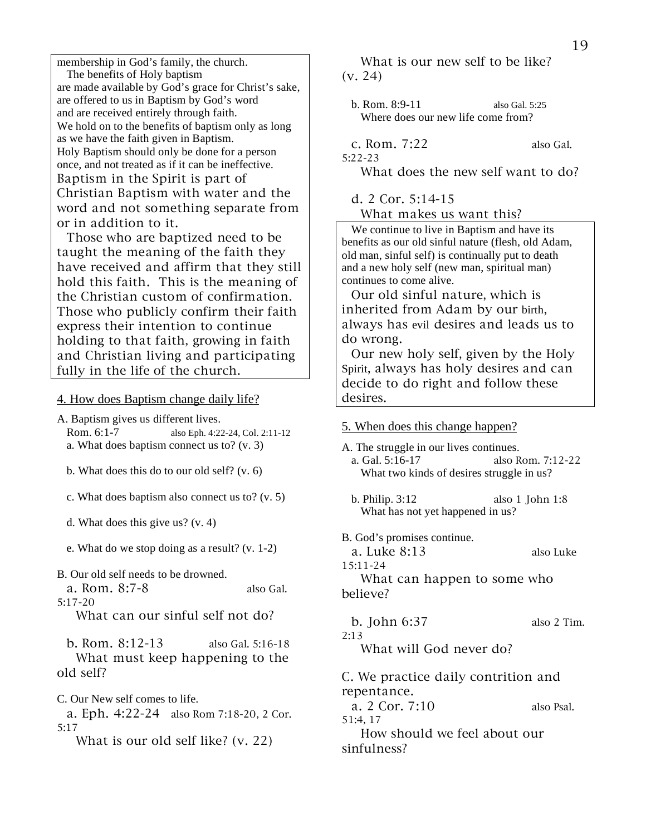membership in God's family, the church.

 The benefits of Holy baptism are made available by God's grace for Christ's sake, are offered to us in Baptism by God's word and are received entirely through faith. We hold on to the benefits of baptism only as long as we have the faith given in Baptism. Holy Baptism should only be done for a person once, and not treated as if it can be ineffective. Baptism in the Spirit is part of Christian Baptism with water and the word and not something separate from or in addition to it.

 Those who are baptized need to be taught the meaning of the faith they have received and affirm that they still hold this faith. This is the meaning of the Christian custom of confirmation. Those who publicly confirm their faith express their intention to continue holding to that faith, growing in faith and Christian living and participating fully in the life of the church.

4. How does Baptism change daily life?

A. Baptism gives us different lives.

 Rom. 6:1-7 also Eph. 4:22-24, Col. 2:11-12 a. What does baptism connect us to? (v. 3)

b. What does this do to our old self? (v. 6)

c. What does baptism also connect us to? (v. 5)

d. What does this give us? (v. 4)

e. What do we stop doing as a result? (v. 1-2)

B. Our old self needs to be drowned.

 a. Rom. 8:7-8 also Gal. 5:17-20

What can our sinful self not do?

 b. Rom. 8:12-13 also Gal. 5:16-18 What must keep happening to the old self?

C. Our New self comes to life.

 a. Eph. 4:22-24 also Rom 7:18-20, 2 Cor. 5:17

What is our old self like? (v. 22)

 What is our new self to be like? (v. 24)

 b. Rom. 8:9-11 also Gal. 5:25 Where does our new life come from?

c. Rom. 7:22 also Gal.

5:22-23

What does the new self want to do?

 d. 2 Cor. 5:14-15 What makes us want this?

 We continue to live in Baptism and have its benefits as our old sinful nature (flesh, old Adam, old man, sinful self) is continually put to death and a new holy self (new man, spiritual man) continues to come alive.

 Our old sinful nature, which is inherited from Adam by our birth, always has evil desires and leads us to do wrong.

 Our new holy self, given by the Holy Spirit, always has holy desires and can decide to do right and follow these desires.

#### 5. When does this change happen?

A. The struggle in our lives continues. a. Gal. 5:16-17 also Rom. 7:12-22 What two kinds of desires struggle in us?

 b. Philip. 3:12 also 1 John 1:8 What has not yet happened in us?

B. God's promises continue.

a. Luke 8:13 also Luke

15:11-24

 What can happen to some who believe?

 b. John 6:37 also 2 Tim. 2:13 What will God never do?

C. We practice daily contrition and repentance. a. 2 Cor. 7:10 also Psal. 51:4, 17

 How should we feel about our sinfulness?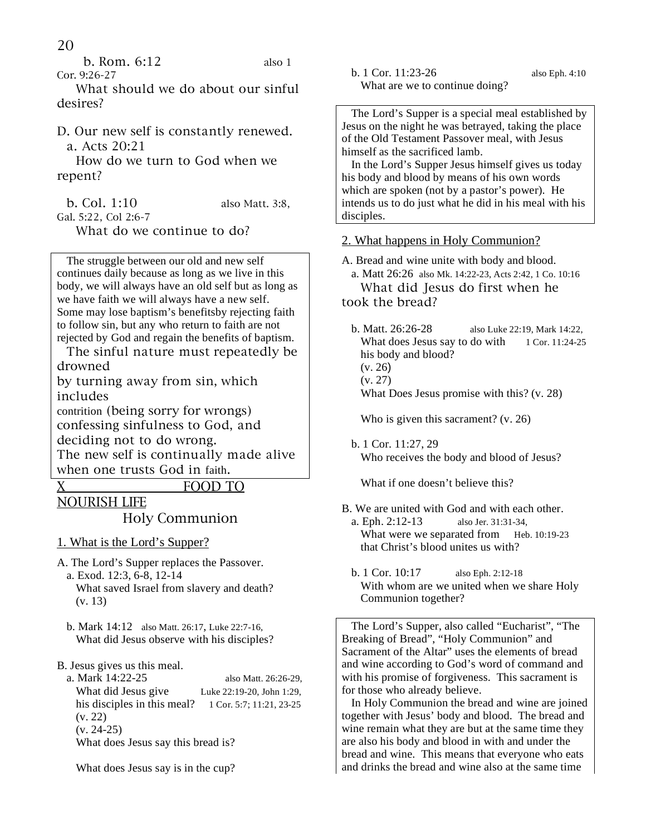20

 b. Rom. 6:12 also 1 Cor. 9:26-27

 What should we do about our sinful desires?

## D. Our new self is constantly renewed. a. Acts 20:21

 How do we turn to God when we repent?

 b. Col. 1:10 also Matt. 3:8, Gal. 5:22, Col 2:6-7 What do we continue to do?

 The struggle between our old and new self continues daily because as long as we live in this body, we will always have an old self but as long as we have faith we will always have a new self. Some may lose baptism's benefitsby rejecting faith to follow sin, but any who return to faith are not rejected by God and regain the benefits of baptism.

 The sinful nature must repeatedly be drowned

by turning away from sin, which includes

contrition (being sorry for wrongs) confessing sinfulness to God, and deciding not to do wrong. The new self is continually made alive when one trusts God in faith.

FOOD TO NOURISH LIFE Holy Communion

1. What is the Lord's Supper?

A. The Lord's Supper replaces the Passover. a. Exod. 12:3, 6-8, 12-14

 What saved Israel from slavery and death? (v. 13)

 b. Mark 14:12 also Matt. 26:17, Luke 22:7-16, What did Jesus observe with his disciples?

B. Jesus gives us this meal.

 a. Mark 14:22-25 also Matt. 26:26-29, What did Jesus give Luke 22:19-20, John 1:29, his disciples in this meal?  $1$  Cor. 5:7; 11:21, 23-25 (v. 22) (v. 24-25) What does Jesus say this bread is?

What does Jesus say is in the cup?

 b. 1 Cor. 11:23-26 also Eph. 4:10 What are we to continue doing?

 The Lord's Supper is a special meal established by Jesus on the night he was betrayed, taking the place of the Old Testament Passover meal, with Jesus himself as the sacrificed lamb.

 In the Lord's Supper Jesus himself gives us today his body and blood by means of his own words which are spoken (not by a pastor's power). He intends us to do just what he did in his meal with his disciples.

# 2. What happens in Holy Communion?

A. Bread and wine unite with body and blood. a. Matt 26:26 also Mk. 14:22-23, Acts 2:42, 1 Co. 10:16 What did Jesus do first when he took the bread?

 b. Matt. 26:26-28 also Luke 22:19, Mark 14:22, What does Jesus say to do with 1 Cor. 11:24-25 his body and blood? (v. 26) (v. 27) What Does Jesus promise with this? (v. 28)

Who is given this sacrament? (v. 26)

 b. 1 Cor. 11:27, 29 Who receives the body and blood of Jesus?

What if one doesn't believe this?

- B. We are united with God and with each other. a. Eph. 2:12-13 also Jer. 31:31-34, What were we separated from Heb. 10:19-23 that Christ's blood unites us with?
	- b. 1 Cor. 10:17 also Eph. 2:12-18 With whom are we united when we share Holy Communion together?

 The Lord's Supper, also called "Eucharist", "The Breaking of Bread", "Holy Communion" and Sacrament of the Altar" uses the elements of bread and wine according to God's word of command and with his promise of forgiveness. This sacrament is for those who already believe.

 In Holy Communion the bread and wine are joined together with Jesus' body and blood. The bread and wine remain what they are but at the same time they are also his body and blood in with and under the bread and wine. This means that everyone who eats and drinks the bread and wine also at the same time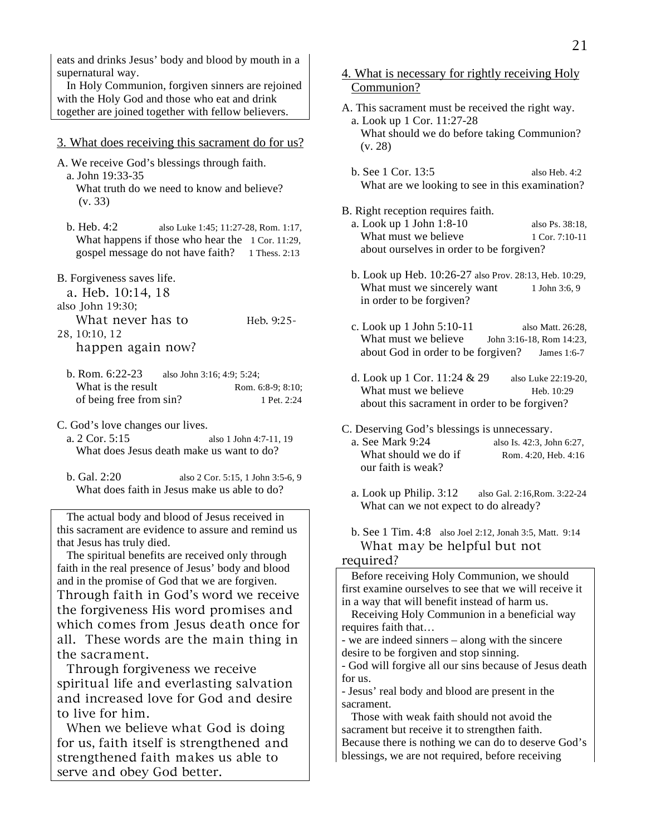eats and drinks Jesus' body and blood by mouth in a supernatural way.

 In Holy Communion, forgiven sinners are rejoined with the Holy God and those who eat and drink together are joined together with fellow believers.

#### 3. What does receiving this sacrament do for us?

- A. We receive God's blessings through faith.
	- a. John 19:33-35 What truth do we need to know and believe? (v. 33)
	- b. Heb. 4:2 also Luke 1:45; 11:27-28, Rom. 1:17, What happens if those who hear the 1 Cor. 11:29, gospel message do not have faith? 1 Thess. 2:13
- B. Forgiveness saves life.
- a. Heb. 10:14, 18
- also John 19:30;
- What never has to Heb. 9:25-28, 10:10, 12

#### happen again now?

 b. Rom. 6:22-23 also John 3:16; 4:9; 5:24; What is the result  $\mu$  Rom. 6:8-9: 8:10; of being free from sin? 1 Pet. 2:24

C. God's love changes our lives.

- a. 2 Cor. 5:15 also 1 John 4:7-11, 19 What does Jesus death make us want to do?
- b. Gal. 2:20 also 2 Cor. 5:15, 1 John 3:5-6, 9 What does faith in Jesus make us able to do?

 The actual body and blood of Jesus received in this sacrament are evidence to assure and remind us that Jesus has truly died.

 The spiritual benefits are received only through faith in the real presence of Jesus' body and blood and in the promise of God that we are forgiven. Through faith in God's word we receive the forgiveness His word promises and which comes from Jesus death once for all. These words are the main thing in the sacrament.

 Through forgiveness we receive spiritual life and everlasting salvation and increased love for God and desire to live for him.

 When we believe what God is doing for us, faith itself is strengthened and strengthened faith makes us able to serve and obey God better.

- 4. What is necessary for rightly receiving Holy Communion?
- A. This sacrament must be received the right way. a. Look up 1 Cor. 11:27-28 What should we do before taking Communion? (v. 28)
	- b. See 1 Cor. 13:5 also Heb. 4:2 What are we looking to see in this examination?
- B. Right reception requires faith.
	- a. Look up 1 John 1:8-10 also Ps. 38:18, What must we believe 1 Cor. 7:10-11 about ourselves in order to be forgiven?
	- b. Look up Heb. 10:26-27 also Prov. 28:13, Heb. 10:29, What must we sincerely want  $1$  John 3:6, 9 in order to be forgiven?
	- c. Look up 1 John 5:10-11 also Matt. 26:28, What must we believe John 3:16-18, Rom 14:23, about God in order to be forgiven? James 1:6-7
	- d. Look up 1 Cor. 11:24 & 29 also Luke 22:19-20, What must we believe Heb. 10:29 about this sacrament in order to be forgiven?

C. Deserving God's blessings is unnecessary.

- a. See Mark 9:24 also Is. 42:3, John 6:27, What should we do if  $Rom. 4:20$ . Heb.  $4:16$ our faith is weak?
- a. Look up Philip. 3:12 also Gal. 2:16,Rom. 3:22-24 What can we not expect to do already?
- b. See 1 Tim. 4:8 also Joel 2:12, Jonah 3:5, Matt. 9:14 What may be helpful but not required?

 Before receiving Holy Communion, we should first examine ourselves to see that we will receive it in a way that will benefit instead of harm us.

 Receiving Holy Communion in a beneficial way requires faith that…

- we are indeed sinners – along with the sincere desire to be forgiven and stop sinning.

- God will forgive all our sins because of Jesus death for us.

- Jesus' real body and blood are present in the sacrament.

 Those with weak faith should not avoid the sacrament but receive it to strengthen faith. Because there is nothing we can do to deserve God's blessings, we are not required, before receiving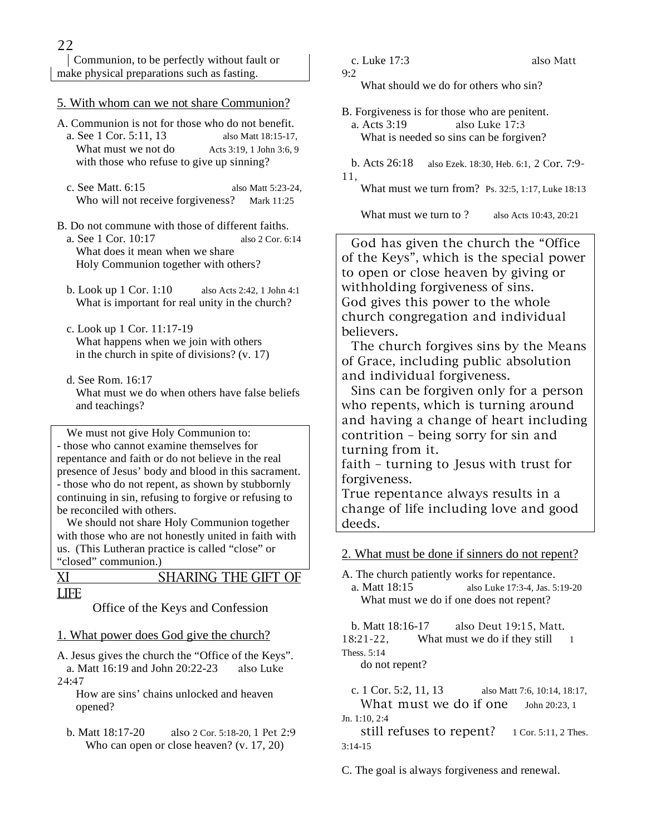Communion, to be perfectly without fault or make physical preparations such as fasting.

#### 5. With whom can we not share Communion?

A. Communion is not for those who do not benefit.

- a. See 1 Cor. 5:11, 13 also Matt 18:15-17, What must we not do Acts 3:19, 1 John 3:6, 9 with those who refuse to give up sinning?
- c. See Matt. 6:15 also Matt 5:23-24, Who will not receive forgiveness? Mark 11:25
- B. Do not commune with those of different faiths.
	- a. See 1 Cor. 10:17 also 2 Cor. 6:14 What does it mean when we share Holy Communion together with others?
	- b. Look up 1 Cor. 1:10 also Acts 2:42, 1 John 4:1 What is important for real unity in the church?
	- c. Look up 1 Cor. 11:17-19 What happens when we join with others in the church in spite of divisions? (v. 17)
	- d. See Rom. 16:17 What must we do when others have false beliefs and teachings?

We must not give Holy Communion to: - those who cannot examine themselves for repentance and faith or do not believe in the real presence of Jesus' body and blood in this sacrament. - those who do not repent, as shown by stubbornly continuing in sin, refusing to forgive or refusing to be reconciled with others.

 We should not share Holy Communion together with those who are not honestly united in faith with us. (This Lutheran practice is called "close" or "closed" communion.)

# XI SHARING THE GIFT OF LIFE

Office of the Keys and Confession

1. What power does God give the church?

A. Jesus gives the church the "Office of the Keys". a. Matt 16:19 and John 20:22-23 also Luke 24:47

 How are sins' chains unlocked and heaven opened?

 b. Matt 18:17-20 also 2 Cor. 5:18-20, 1 Pet 2:9 Who can open or close heaven? (v. 17, 20)

c. Luke 17:3 also Matt

9:2

What should we do for others who sin?

B. Forgiveness is for those who are penitent. a. Acts 3:19 also Luke 17:3 What is needed so sins can be forgiven?

 b. Acts 26:18 also Ezek. 18:30, Heb. 6:1, 2 Cor. 7:9- 11,

What must we turn from? Ps. 32:5, 1:17, Luke 18:13

What must we turn to ? also Acts 10:43, 20:21

 God has given the church the "Office of the Keys", which is the special power to open or close heaven by giving or withholding forgiveness of sins. God gives this power to the whole church congregation and individual believers.

 The church forgives sins by the Means of Grace, including public absolution and individual forgiveness.

 Sins can be forgiven only for a person who repents, which is turning around and having a change of heart including contrition – being sorry for sin and turning from it.

faith – turning to Jesus with trust for forgiveness.

True repentance always results in a change of life including love and good deeds.

# 2. What must be done if sinners do not repent?

A. The church patiently works for repentance. a. Matt 18:15 also Luke 17:3-4, Jas. 5:19-20 What must we do if one does not repent?

 b. Matt 18:16-17 also Deut 19:15, Matt. 18:21-22, What must we do if they still 1 Thess. 5:14

do not repent?

 c. 1 Cor. 5:2, 11, 13 also Matt 7:6, 10:14, 18:17, What must we do if one John 20:23, 1

Jn. 1:10, 2:4

still refuses to repent? 1 Cor. 5:11, 2 Thes. 3:14-15

C. The goal is always forgiveness and renewal.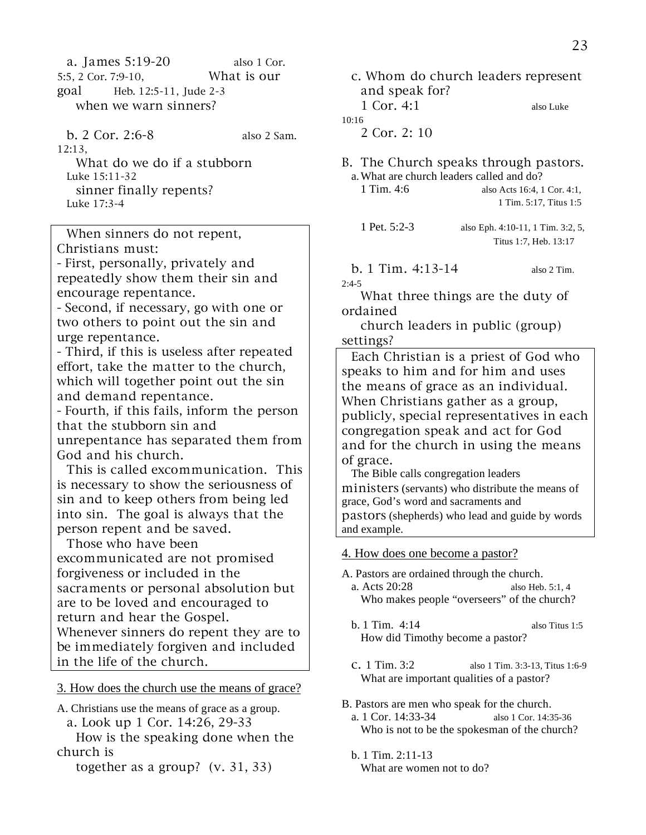a. James 5:19-20 also 1 Cor. 5:5, 2 Cor. 7:9-10, What is our goal Heb. 12:5-11, Jude 2-3 when we warn sinners?

 b. 2 Cor. 2:6-8 also 2 Sam.  $12:13$  What do we do if a stubborn Luke 15:11-32 sinner finally repents?

Luke 17:3-4

 When sinners do not repent, Christians must:

- First, personally, privately and repeatedly show them their sin and encourage repentance.

- Second, if necessary, go with one or two others to point out the sin and urge repentance.

- Third, if this is useless after repeated effort, take the matter to the church, which will together point out the sin and demand repentance.

- Fourth, if this fails, inform the person that the stubborn sin and

unrepentance has separated them from God and his church.

 This is called excommunication. This is necessary to show the seriousness of sin and to keep others from being led into sin. The goal is always that the person repent and be saved.

 Those who have been excommunicated are not promised forgiveness or included in the sacraments or personal absolution but are to be loved and encouraged to return and hear the Gospel. Whenever sinners do repent they are to be immediately forgiven and included in the life of the church.

3. How does the church use the means of grace?

A. Christians use the means of grace as a group. a. Look up 1 Cor. 14:26, 29-33

 How is the speaking done when the church is

together as a group? (v. 31, 33)

 c. Whom do church leaders represent and speak for? 1 Cor. 4:1 also Luke 10:16

2 Cor. 2: 10

B. The Church speaks through pastors. a. What are church leaders called and do?

 1 Tim. 4:6 also Acts 16:4, 1 Cor. 4:1, 1 Tim. 5:17, Titus 1:5

| 1 Pet. $5:2-3$ | also Eph. 4:10-11, 1 Tim. 3:2, 5, |
|----------------|-----------------------------------|
|                | Titus 1:7, Heb. 13:17             |

 b. 1 Tim. 4:13-14 also 2 Tim. 2:4-5

 What three things are the duty of ordained

 church leaders in public (group) settings?

 Each Christian is a priest of God who speaks to him and for him and uses the means of grace as an individual. When Christians gather as a group, publicly, special representatives in each congregation speak and act for God and for the church in using the means of grace.

 The Bible calls congregation leaders ministers (servants) who distribute the means of grace, God's word and sacraments and pastors (shepherds) who lead and guide by words and example.

#### 4. How does one become a pastor?

- A. Pastors are ordained through the church. a. Acts 20:28 also Heb. 5:1, 4 Who makes people "overseers" of the church?
	- b. 1 Tim. 4:14 also Titus 1:5 How did Timothy become a pastor?
	- c. 1 Tim. 3:2 also 1 Tim. 3:3-13, Titus 1:6-9 What are important qualities of a pastor?
- B. Pastors are men who speak for the church. a. 1 Cor. 14:33-34 also 1 Cor. 14:35-36 Who is not to be the spokesman of the church?
	- b. 1 Tim. 2:11-13 What are women not to do?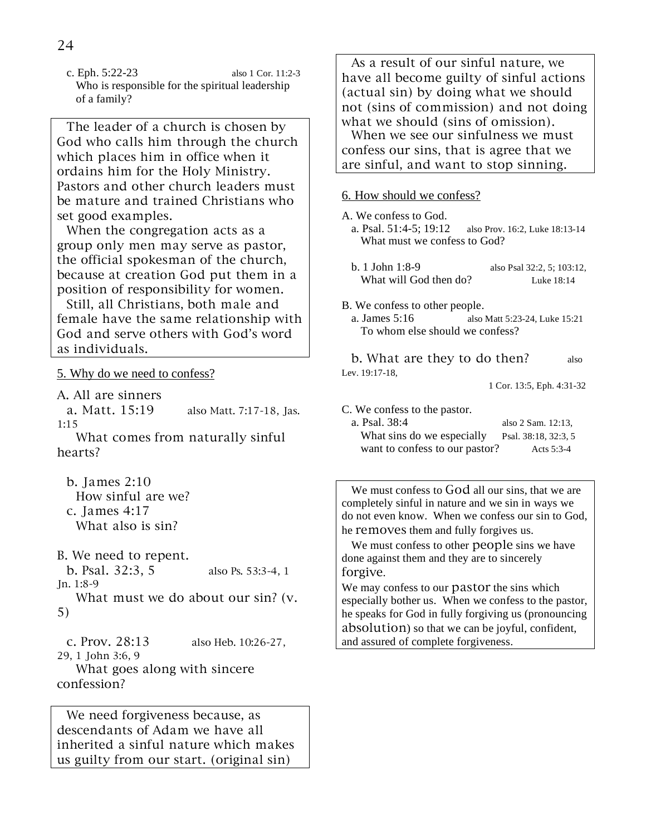c. Eph. 5:22-23 also 1 Cor. 11:2-3 Who is responsible for the spiritual leadership of a family?

 The leader of a church is chosen by God who calls him through the church which places him in office when it ordains him for the Holy Ministry. Pastors and other church leaders must be mature and trained Christians who set good examples.

 When the congregation acts as a group only men may serve as pastor, the official spokesman of the church, because at creation God put them in a position of responsibility for women.

 Still, all Christians, both male and female have the same relationship with God and serve others with God's word as individuals.

# 5. Why do we need to confess?

A. All are sinners

 a. Matt. 15:19 also Matt. 7:17-18, Jas. 1:15

 What comes from naturally sinful hearts?

 b. James 2:10 How sinful are we? c. James 4:17 What also is sin?

B. We need to repent.

 b. Psal. 32:3, 5 also Ps. 53:3-4, 1 Jn. 1:8-9

 What must we do about our sin? (v. 5)

 c. Prov. 28:13 also Heb. 10:26-27, 29, 1 John 3:6, 9 What goes along with sincere confession?

 We need forgiveness because, as descendants of Adam we have all inherited a sinful nature which makes us guilty from our start. (original sin)

 As a result of our sinful nature, we have all become guilty of sinful actions (actual sin) by doing what we should not (sins of commission) and not doing what we should (sins of omission).

 When we see our sinfulness we must confess our sins, that is agree that we are sinful, and want to stop sinning.

#### 6. How should we confess?

A. We confess to God.

 a. Psal. 51:4-5; 19:12 also Prov. 16:2, Luke 18:13-14 What must we confess to God?

 b. 1 John 1:8-9 also Psal 32:2, 5; 103:12, What will God then do? Luke 18:14

B. We confess to other people.

 a. James 5:16 also Matt 5:23-24, Luke 15:21 To whom else should we confess?

b. What are they to do then? also Lev. 19:17-18,

1 Cor. 13:5, Eph. 4:31-32

C. We confess to the pastor.

| a. Psal. 38:4                  | also 2 Sam. 12:13,   |
|--------------------------------|----------------------|
| What sins do we especially     | Psal. 38:18, 32:3, 5 |
| want to confess to our pastor? | Acts $5:3-4$         |

We must confess to God all our sins, that we are completely sinful in nature and we sin in ways we do not even know. When we confess our sin to God, he removes them and fully forgives us.

We must confess to other people sins we have done against them and they are to sincerely forgive.

We may confess to our pastor the sins which especially bother us. When we confess to the pastor, he speaks for God in fully forgiving us (pronouncing absolution) so that we can be joyful, confident, and assured of complete forgiveness.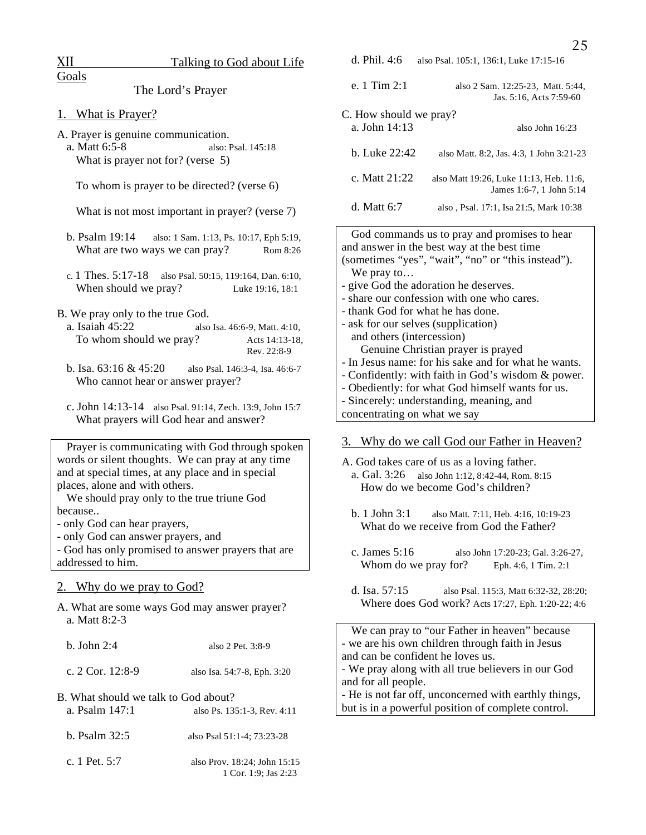| XII                                                                                                                                                                                    | Talking to God about Life                                                                                                     | d. Phil. 4:6                          | also Psal. 105:1, 136:1, Luke 17:15-16                                                                                                                         |
|----------------------------------------------------------------------------------------------------------------------------------------------------------------------------------------|-------------------------------------------------------------------------------------------------------------------------------|---------------------------------------|----------------------------------------------------------------------------------------------------------------------------------------------------------------|
| Goals                                                                                                                                                                                  | The Lord's Prayer                                                                                                             | e. 1 Tim 2:1                          | also 2 Sam. 12:25-23, Matt. 5:44,<br>Jas. 5:16, Acts 7:59-60                                                                                                   |
| 1. What is Prayer?                                                                                                                                                                     |                                                                                                                               | C. How should we pray?                |                                                                                                                                                                |
|                                                                                                                                                                                        | A. Prayer is genuine communication.                                                                                           | a. John 14:13                         | also John 16:23                                                                                                                                                |
| a. Matt 6:5-8                                                                                                                                                                          | also: Psal. 145:18<br>What is prayer not for? (verse 5)                                                                       | b. Luke 22:42                         | also Matt. 8:2, Jas. 4:3, 1 John 3:21-23                                                                                                                       |
|                                                                                                                                                                                        | To whom is prayer to be directed? (verse 6)                                                                                   | c. Matt 21:22                         | also Matt 19:26, Luke 11:13, Heb. 11:6,<br>James 1:6-7, 1 John 5:14                                                                                            |
|                                                                                                                                                                                        | What is not most important in prayer? (verse 7)                                                                               | d. Matt 6:7                           | also, Psal. 17:1, Isa 21:5, Mark 10:38                                                                                                                         |
| b. Psalm 19:14                                                                                                                                                                         | also: 1 Sam. 1:13, Ps. 10:17, Eph 5:19,<br>What are two ways we can pray?<br>Rom 8:26                                         |                                       | God commands us to pray and promises to hear<br>and answer in the best way at the best time<br>(sometimes "yes", "wait", "no" or "this instead").              |
| c. 1 Thes. $5:17-18$                                                                                                                                                                   | also Psal. 50:15, 119:164, Dan. 6:10,<br>When should we pray?<br>Luke 19:16, 18:1                                             | We pray to                            | - give God the adoration he deserves.<br>- share our confession with one who cares.                                                                            |
| a. Isaiah 45:22                                                                                                                                                                        | B. We pray only to the true God.<br>also Isa. 46:6-9, Matt. 4:10,<br>To whom should we pray?<br>Acts 14:13-18,<br>Rev. 22:8-9 | and others (intercession)             | - thank God for what he has done.<br>- ask for our selves (supplication)<br>Genuine Christian prayer is prayed                                                 |
|                                                                                                                                                                                        | b. Isa. $63:16 \& 45:20$<br>also Psal. 146:3-4, Isa. 46:6-7<br>Who cannot hear or answer prayer?                              |                                       | - In Jesus name: for his sake and for what he wants.<br>- Confidently: with faith in God's wisdom & power.<br>- Obediently: for what God himself wants for us. |
|                                                                                                                                                                                        | c. John 14:13-14 also Psal. 91:14, Zech. 13:9, John 15:7<br>What prayers will God hear and answer?                            | concentrating on what we say          | - Sincerely: understanding, meaning, and                                                                                                                       |
|                                                                                                                                                                                        | Prayer is communicating with God through spoken                                                                               |                                       | 3. Why do we call God our Father in Heaven?                                                                                                                    |
| words or silent thoughts. We can pray at any time<br>and at special times, at any place and in special<br>places, alone and with others.<br>We should pray only to the true triune God |                                                                                                                               |                                       | A. God takes care of us as a loving father.<br>a. Gal. 3:26 also John 1:12, 8:42-44, Rom. 8:15<br>How do we become God's children?                             |
| because                                                                                                                                                                                | - only God can hear prayers,<br>- only God can answer prayers, and                                                            | $b.1$ John $3:1$                      | also Matt. 7:11, Heb. 4:16, 10:19-23<br>What do we receive from God the Father?                                                                                |
| addressed to him.                                                                                                                                                                      | - God has only promised to answer prayers that are                                                                            | c. James 5:16<br>Whom do we pray for? | also John 17:20-23; Gal. 3:26-27,<br>Eph. 4:6, 1 Tim. 2:1                                                                                                      |
|                                                                                                                                                                                        | 2. Why do we pray to God?                                                                                                     | d. Isa. 57:15                         | also Psal. 115:3, Matt 6:32-32, 28:20;                                                                                                                         |
| a. Matt 8:2-3                                                                                                                                                                          | A. What are some ways God may answer prayer?                                                                                  |                                       | Where does God work? Acts 17:27, Eph. 1:20-22; 4:6<br>We can pray to "our Father in heaven" because                                                            |
| b. John 2:4                                                                                                                                                                            | also 2 Pet. 3:8-9                                                                                                             |                                       | - we are his own children through faith in Jesus<br>and can be confident he loves us.                                                                          |
| c. 2 Cor. 12:8-9                                                                                                                                                                       | also Isa. 54:7-8, Eph. 3:20                                                                                                   | and for all people.                   | - We pray along with all true believers in our God                                                                                                             |
| a. Psalm 147:1                                                                                                                                                                         | B. What should we talk to God about?<br>also Ps. 135:1-3, Rev. 4:11                                                           |                                       | - He is not far off, unconcerned with earthly things,<br>but is in a powerful position of complete control.                                                    |
| b. Psalm 32:5                                                                                                                                                                          | also Psal 51:1-4; 73:23-28                                                                                                    |                                       |                                                                                                                                                                |

c. 1 Pet. 5:7 also Prov. 18:24; John 15:15

1 Cor. 1:9; Jas 2:23

25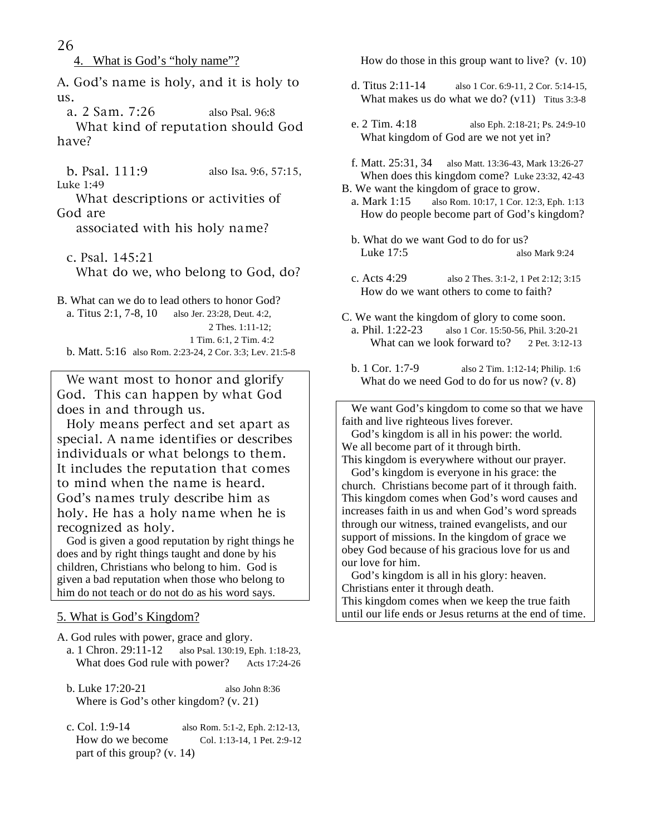26

4. What is God's "holy name"?

A. God's name is holy, and it is holy to us.

- a. 2 Sam. 7:26 also Psal. 96:8 What kind of reputation should God have?
- b. Psal. 111:9 also Isa. 9:6, 57:15, Luke 1:49

 What descriptions or activities of God are

associated with his holy name?

c. Psal. 145:21

What do we, who belong to God, do?

B. What can we do to lead others to honor God? a. Titus 2:1, 7-8, 10 also Jer. 23:28, Deut. 4:2, 2 Thes. 1:11-12; 1 Tim. 6:1, 2 Tim. 4:2 b. Matt. 5:16 also Rom. 2:23-24, 2 Cor. 3:3; Lev. 21:5-8

 We want most to honor and glorify God. This can happen by what God does in and through us.

 Holy means perfect and set apart as special. A name identifies or describes individuals or what belongs to them. It includes the reputation that comes to mind when the name is heard. God's names truly describe him as holy. He has a holy name when he is recognized as holy.

 God is given a good reputation by right things he does and by right things taught and done by his children, Christians who belong to him. God is given a bad reputation when those who belong to him do not teach or do not do as his word says.

# 5. What is God's Kingdom?

A. God rules with power, grace and glory.

- a. 1 Chron. 29:11-12 also Psal. 130:19, Eph. 1:18-23, What does God rule with power? Acts 17:24-26
- b. Luke 17:20-21 also John 8:36 Where is God's other kingdom? (v. 21)
- c. Col. 1:9-14 also Rom. 5:1-2, Eph. 2:12-13, How do we become Col. 1:13-14, 1 Pet. 2:9-12 part of this group? (v. 14)

How do those in this group want to live? (v. 10)

- d. Titus 2:11-14 also 1 Cor. 6:9-11, 2 Cor. 5:14-15, What makes us do what we do?  $(v11)$  Titus 3:3-8
- e. 2 Tim. 4:18 also Eph. 2:18-21; Ps. 24:9-10 What kingdom of God are we not yet in?
- f. Matt. 25:31, 34 also Matt. 13:36-43, Mark 13:26-27 When does this kingdom come? Luke 23:32, 42-43
- B. We want the kingdom of grace to grow.
	- a. Mark 1:15 also Rom. 10:17, 1 Cor. 12:3, Eph. 1:13 How do people become part of God's kingdom?
	- b. What do we want God to do for us? Luke 17:5 also Mark 9:24
	- c. Acts 4:29 also 2 Thes. 3:1-2, 1 Pet 2:12; 3:15 How do we want others to come to faith?
- C. We want the kingdom of glory to come soon. a. Phil. 1:22-23 also 1 Cor. 15:50-56, Phil. 3:20-21 What can we look forward to? 2 Pet. 3:12-13
	- b. 1 Cor. 1:7-9 also 2 Tim. 1:12-14; Philip. 1:6 What do we need God to do for us now? (v. 8)

 We want God's kingdom to come so that we have faith and live righteous lives forever.

 God's kingdom is all in his power: the world. We all become part of it through birth.

This kingdom is everywhere without our prayer. God's kingdom is everyone in his grace: the

church. Christians become part of it through faith. This kingdom comes when God's word causes and increases faith in us and when God's word spreads through our witness, trained evangelists, and our support of missions. In the kingdom of grace we obey God because of his gracious love for us and our love for him.

 God's kingdom is all in his glory: heaven. Christians enter it through death. This kingdom comes when we keep the true faith until our life ends or Jesus returns at the end of time.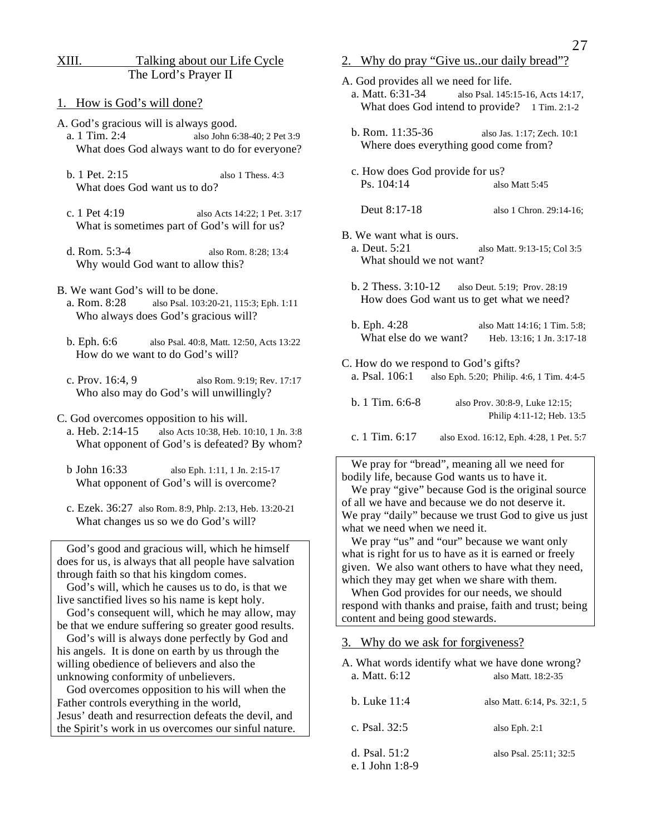# XIII. Talking about our Life Cycle The Lord's Prayer II

#### 1. How is God's will done?

- A. God's gracious will is always good.
	- a. 1 Tim. 2:4also John 6:38-40; 2 Pet 3:9 What does God always want to do for everyone?
	- b. 1 Pet. 2:15 also 1 Thess. 4:3 What does God want us to do?
	- c. 1 Pet 4:19 also Acts 14:22; 1 Pet. 3:17 What is sometimes part of God's will for us?
	- d. Rom. 5:3-4 also Rom. 8:28; 13:4 Why would God want to allow this?
- B. We want God's will to be done.
	- a. Rom. 8:28 also Psal. 103:20-21, 115:3; Eph. 1:11 Who always does God's gracious will?
	- b. Eph. 6:6 also Psal. 40:8, Matt. 12:50, Acts 13:22 How do we want to do God's will?
	- c. Prov. 16:4, 9 also Rom. 9:19; Rev. 17:17 Who also may do God's will unwillingly?
- C. God overcomes opposition to his will.
	- a. Heb. 2:14-15 also Acts 10:38, Heb. 10:10, 1 Jn. 3:8 What opponent of God's is defeated? By whom?
	- b John 16:33 also Eph. 1:11, 1 Jn. 2:15-17 What opponent of God's will is overcome?
	- c. Ezek. 36:27 also Rom. 8:9, Phlp. 2:13, Heb. 13:20-21 What changes us so we do God's will?

 God's good and gracious will, which he himself does for us, is always that all people have salvation through faith so that his kingdom comes.

 God's will, which he causes us to do, is that we live sanctified lives so his name is kept holy.

 God's consequent will, which he may allow, may be that we endure suffering so greater good results.

 God's will is always done perfectly by God and his angels. It is done on earth by us through the willing obedience of believers and also the unknowing conformity of unbelievers.

 God overcomes opposition to his will when the Father controls everything in the world, Jesus' death and resurrection defeats the devil, and the Spirit's work in us overcomes our sinful nature.

# 2. Why do pray "Give us..our daily bread"?

- A. God provides all we need for life. a. Matt. 6:31-34 also Psal. 145:15-16, Acts 14:17, What does God intend to provide? 1 Tim. 2:1-2
- b. Rom. 11:35-36 also Jas. 1:17; Zech. 10:1 Where does everything good come from?
- c. How does God provide for us? Ps. 104:14 also Matt 5:45
	- Deut 8:17-18 also 1 Chron. 29:14-16;
- B. We want what is ours.
- a. Deut. 5:21 also Matt. 9:13-15; Col 3:5 What should we not want?
- b. 2 Thess. 3:10-12 also Deut. 5:19; Prov. 28:19 How does God want us to get what we need?
- b. Eph. 4:28 also Matt 14:16; 1 Tim. 5:8; What else do we want? Heb. 13:16; 1 Jn. 3:17-18

#### C. How do we respond to God's gifts? a. Psal. 106:1 also Eph. 5:20; Philip. 4:6, 1 Tim. 4:4-5

- b. 1 Tim. 6:6-8 also Prov. 30:8-9, Luke 12:15; Philip 4:11-12; Heb. 13:5
- c. 1 Tim. 6:17 also Exod. 16:12, Eph. 4:28, 1 Pet. 5:7

 We pray for "bread", meaning all we need for bodily life, because God wants us to have it.

 We pray "give" because God is the original source of all we have and because we do not deserve it. We pray "daily" because we trust God to give us just what we need when we need it.

We pray "us" and "our" because we want only what is right for us to have as it is earned or freely given. We also want others to have what they need, which they may get when we share with them.

 When God provides for our needs, we should respond with thanks and praise, faith and trust; being content and being good stewards.

#### 3. Why do we ask for forgiveness?

A. What words identify what we have done wrong? a. Matt. 6:12 also Matt. 18:2-35

| $h$ . Luke 11:4                      | also Matt. 6:14, Ps. 32:1, 5 |
|--------------------------------------|------------------------------|
| c. Psal. $32:5$                      | also Eph. $2:1$              |
| d. Psal. $51:2$<br>e. 1 John $1:8-9$ | also Psal. 25:11; 32:5       |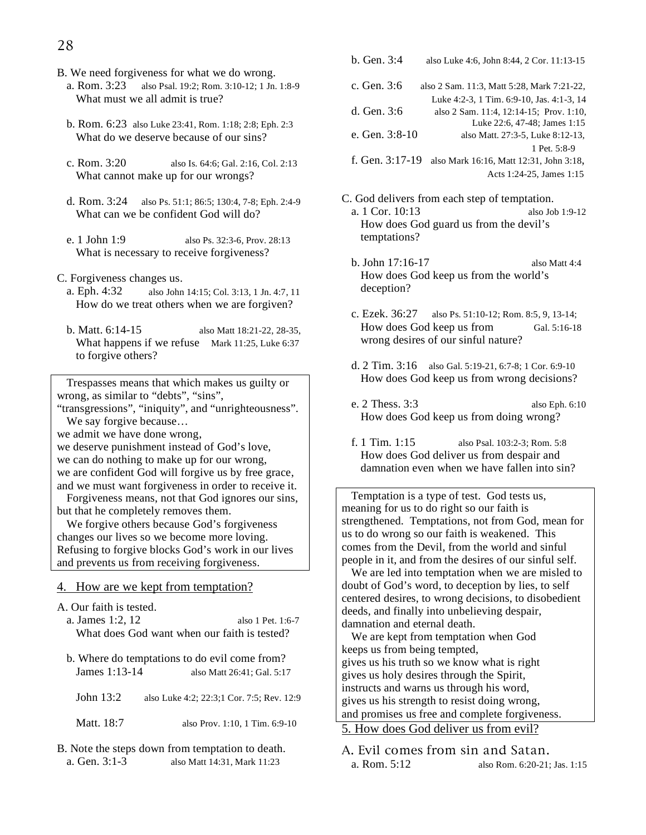- B. We need forgiveness for what we do wrong.
	- a. Rom. 3:23 also Psal. 19:2; Rom. 3:10-12; 1 Jn. 1:8-9 What must we all admit is true?
	- b. Rom. 6:23 also Luke 23:41, Rom. 1:18; 2:8; Eph. 2:3 What do we deserve because of our sins?
	- c. Rom. 3:20 also Is. 64:6; Gal. 2:16, Col. 2:13 What cannot make up for our wrongs?
	- d. Rom. 3:24 also Ps. 51:1; 86:5; 130:4, 7-8; Eph. 2:4-9 What can we be confident God will do?
	- e. 1 John 1:9 also Ps. 32:3-6, Prov. 28:13 What is necessary to receive forgiveness?
- C. Forgiveness changes us.
	- a. Eph. 4:32 also John 14:15; Col. 3:13, 1 Jn. 4:7, 11 How do we treat others when we are forgiven?
	- b. Matt. 6:14-15 also Matt 18:21-22, 28-35, What happens if we refuse Mark 11:25, Luke 6:37 to forgive others?

 Trespasses means that which makes us guilty or wrong, as similar to "debts", "sins",

"transgressions", "iniquity", and "unrighteousness". We say forgive because…

we admit we have done wrong,

we deserve punishment instead of God's love, we can do nothing to make up for our wrong, we are confident God will forgive us by free grace, and we must want forgiveness in order to receive it.

 Forgiveness means, not that God ignores our sins, but that he completely removes them.

 We forgive others because God's forgiveness changes our lives so we become more loving. Refusing to forgive blocks God's work in our lives and prevents us from receiving forgiveness.

#### 4. How are we kept from temptation?

A. Our faith is tested.

 a. James 1:2, 12also 1 Pet. 1:6-7 What does God want when our faith is tested?

 b. Where do temptations to do evil come from? James 1:13-14 also Matt 26:41; Gal. 5:17

John 13:2 also Luke 4:2; 22:3;1 Cor. 7:5; Rev. 12:9

Matt. 18:7 also Prov. 1:10, 1 Tim. 6:9-10

B. Note the steps down from temptation to death. a. Gen. 3:1-3 also Matt 14:31, Mark 11:23

- b. Gen. 3:4 also Luke 4:6, John 8:44, 2 Cor. 11:13-15
- c. Gen. 3:6 also 2 Sam. 11:3, Matt 5:28, Mark 7:21-22, Luke 4:2-3, 1 Tim. 6:9-10, Jas. 4:1-3, 14 d. Gen. 3:6 also 2 Sam. 11:4, 12:14-15; Prov. 1:10, Luke 22:6, 47-48; James 1:15 e. Gen. 3:8-10 also Matt. 27:3-5, Luke 8:12-13, 1 Pet. 5:8-9 f. Gen. 3:17-19 also Mark 16:16, Matt 12:31, John 3:18, Acts 1:24-25, James 1:15
- C. God delivers from each step of temptation. a. 1 Cor. 10:13 also Job 1:9-12 How does God guard us from the devil's temptations?
	- b. John 17:16-17 also Matt 4:4 How does God keep us from the world's deception?
	- c. Ezek. 36:27 also Ps. 51:10-12; Rom. 8:5, 9, 13-14; How does God keep us from Gal. 5:16-18 wrong desires of our sinful nature?
	- d. 2 Tim. 3:16 also Gal. 5:19-21, 6:7-8; 1 Cor. 6:9-10 How does God keep us from wrong decisions?
	- e. 2 Thess. 3:3 also Eph. 6:10 How does God keep us from doing wrong?
	- f. 1 Tim. 1:15 also Psal. 103:2-3; Rom. 5:8 How does God deliver us from despair and damnation even when we have fallen into sin?

 Temptation is a type of test. God tests us, meaning for us to do right so our faith is strengthened. Temptations, not from God, mean for us to do wrong so our faith is weakened. This comes from the Devil, from the world and sinful people in it, and from the desires of our sinful self.

 We are led into temptation when we are misled to doubt of God's word, to deception by lies, to self centered desires, to wrong decisions, to disobedient deeds, and finally into unbelieving despair, damnation and eternal death.

 We are kept from temptation when God keeps us from being tempted, gives us his truth so we know what is right gives us holy desires through the Spirit, instructs and warns us through his word, gives us his strength to resist doing wrong, and promises us free and complete forgiveness. 5. How does God deliver us from evil?

A. Evil comes from sin and Satan. a. Rom. 5:12 also Rom. 6:20-21; Jas. 1:15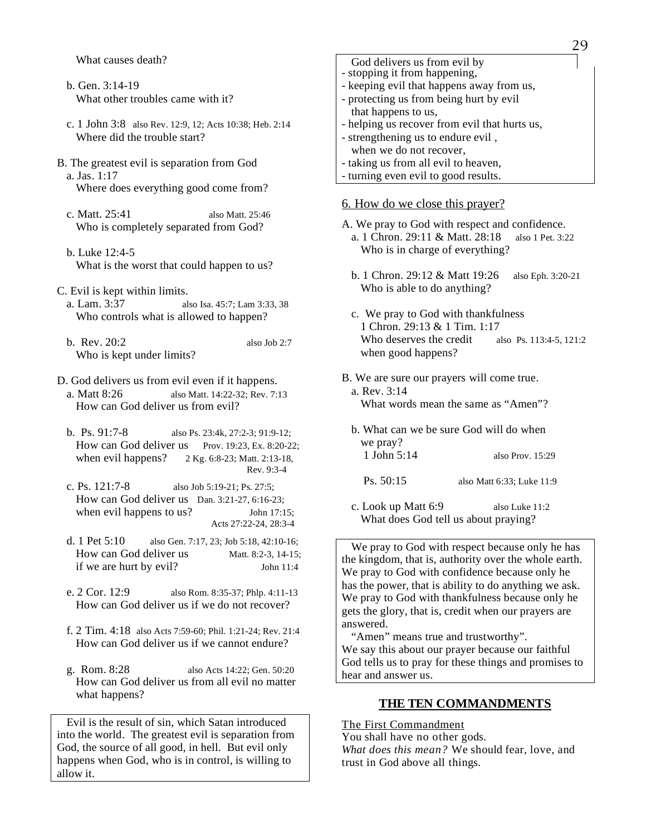What causes death?

- b. Gen. 3:14-19 What other troubles came with it?
- c. 1 John 3:8 also Rev. 12:9, 12; Acts 10:38; Heb. 2:14 Where did the trouble start?
- B. The greatest evil is separation from God a. Jas. 1:17 Where does everything good come from?
	- c. Matt. 25:41 also Matt. 25:46 Who is completely separated from God?
	- b. Luke 12:4-5 What is the worst that could happen to us?
- C. Evil is kept within limits.
	- a. Lam. 3:37 also Isa. 45:7; Lam 3:33, 38 Who controls what is allowed to happen?
	- b. Rev. 20:2 also Job 2:7 Who is kept under limits?
- D. God delivers us from evil even if it happens.
	- a. Matt 8:26 also Matt. 14:22-32; Rev. 7:13 How can God deliver us from evil?
	- b. Ps. 91:7-8 also Ps. 23:4k, 27:2-3; 91:9-12; How can God deliver us  $P_{\text{rov. 19:23, Ex. 8:20-22}}$ ; when evil happens? 2 Kg. 6:8-23; Matt. 2:13-18, Rev. 9:3-4
	- c. Ps. 121:7-8 also Job 5:19-21; Ps. 27:5; How can God deliver us Dan. 3:21-27, 6:16-23; when evil happens to us? John 17:15; Acts 27:22-24, 28:3-4
	- d. 1 Pet 5:10 also Gen. 7:17, 23; Job 5:18, 42:10-16; How can God deliver us Matt. 8:2-3, 14-15; if we are hurt by evil? John 11:4
	- e. 2 Cor. 12:9 also Rom. 8:35-37; Phlp. 4:11-13 How can God deliver us if we do not recover?
	- f. 2 Tim. 4:18 also Acts 7:59-60; Phil. 1:21-24; Rev. 21:4 How can God deliver us if we cannot endure?
	- g. Rom. 8:28 also Acts 14:22; Gen. 50:20 How can God deliver us from all evil no matter what happens?

 Evil is the result of sin, which Satan introduced into the world. The greatest evil is separation from God, the source of all good, in hell. But evil only happens when God, who is in control, is willing to allow it.

- God delivers us from evil by
- stopping it from happening,
- keeping evil that happens away from us,
- protecting us from being hurt by evil that happens to us,
- helping us recover from evil that hurts us,
- strengthening us to endure evil , when we do not recover,
- taking us from all evil to heaven,
- turning even evil to good results.

#### 6. How do we close this prayer?

- A. We pray to God with respect and confidence. a. 1 Chron. 29:11 & Matt. 28:18 also 1 Pet. 3:22 Who is in charge of everything?
	- b. 1 Chron. 29:12 & Matt 19:26 also Eph. 3:20-21 Who is able to do anything?
	- c. We pray to God with thankfulness 1 Chron. 29:13 & 1 Tim. 1:17 Who deserves the credit also Ps. 113:4-5, 121:2 when good happens?
- B. We are sure our prayers will come true. a. Rev. 3:14 What words mean the same as "Amen"?
	- b. What can we be sure God will do when we pray? 1 John 5:14 also Prov. 15:29
		- Ps. 50:15 also Matt 6:33; Luke 11:9
	- c. Look up Matt 6:9 also Luke 11:2 What does God tell us about praying?

 We pray to God with respect because only he has the kingdom, that is, authority over the whole earth. We pray to God with confidence because only he has the power, that is ability to do anything we ask. We pray to God with thankfulness because only he gets the glory, that is, credit when our prayers are answered.

"Amen" means true and trustworthy".

We say this about our prayer because our faithful God tells us to pray for these things and promises to hear and answer us.

# **THE TEN COMMANDMENTS**

The First Commandment You shall have no other gods. *What does this mean?* We should fear, love, and trust in God above all things.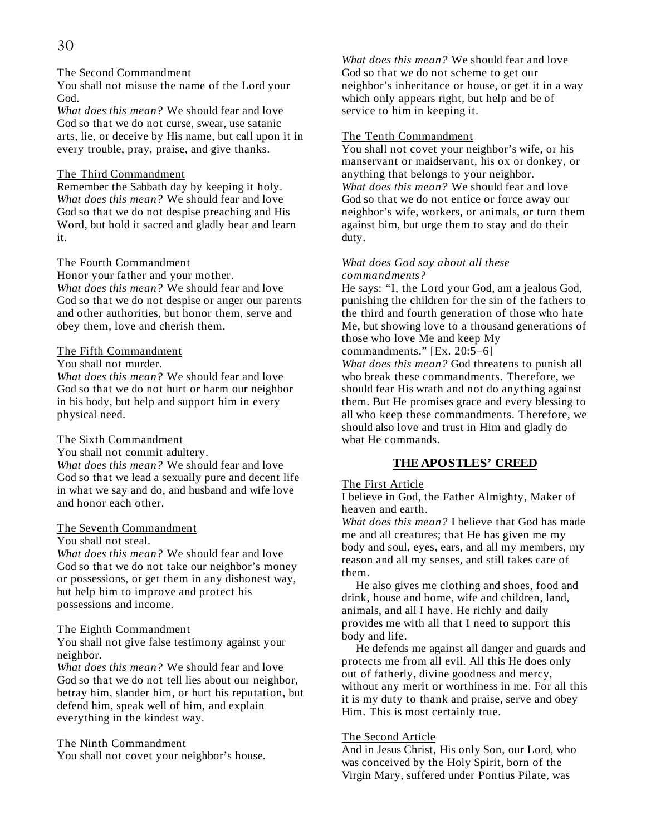#### The Second Commandment

You shall not misuse the name of the Lord your God.

*What does this mean?* We should fear and love God so that we do not curse, swear, use satanic arts, lie, or deceive by His name, but call upon it in every trouble, pray, praise, and give thanks.

#### The Third Commandment

Remember the Sabbath day by keeping it holy. *What does this mean?* We should fear and love God so that we do not despise preaching and His Word, but hold it sacred and gladly hear and learn it.

#### The Fourth Commandment

Honor your father and your mother. *What does this mean?* We should fear and love God so that we do not despise or anger our parents and other authorities, but honor them, serve and obey them, love and cherish them.

#### The Fifth Commandment

# You shall not murder.

*What does this mean?* We should fear and love God so that we do not hurt or harm our neighbor in his body, but help and support him in every physical need.

#### The Sixth Commandment

# You shall not commit adultery.

*What does this mean?* We should fear and love God so that we lead a sexually pure and decent life in what we say and do, and husband and wife love and honor each other.

#### The Seventh Commandment

#### You shall not steal.

*What does this mean?* We should fear and love God so that we do not take our neighbor's money or possessions, or get them in any dishonest way, but help him to improve and protect his possessions and income.

#### The Eighth Commandment

#### You shall not give false testimony against your neighbor.

*What does this mean?* We should fear and love God so that we do not tell lies about our neighbor, betray him, slander him, or hurt his reputation, but defend him, speak well of him, and explain everything in the kindest way.

#### The Ninth Commandment

You shall not covet your neighbor's house.

*What does this mean?* We should fear and love God so that we do not scheme to get our neighbor's inheritance or house, or get it in a way which only appears right, but help and be of service to him in keeping it.

#### The Tenth Commandment

You shall not covet your neighbor's wife, or his manservant or maidservant, his ox or donkey, or anything that belongs to your neighbor. *What does this mean?* We should fear and love God so that we do not entice or force away our neighbor's wife, workers, or animals, or turn them against him, but urge them to stay and do their duty.

#### *What does God say about all these commandments?*

He says: "I, the Lord your God, am a jealous God, punishing the children for the sin of the fathers to the third and fourth generation of those who hate Me, but showing love to a thousand generations of those who love Me and keep My

# commandments." [Ex. 20:5–6]

*What does this mean?* God threatens to punish all who break these commandments. Therefore, we should fear His wrath and not do anything against them. But He promises grace and every blessing to all who keep these commandments. Therefore, we should also love and trust in Him and gladly do what He commands.

#### **THE APOSTLES' CREED**

#### The First Article

I believe in God, the Father Almighty, Maker of heaven and earth.

*What does this mean?* I believe that God has made me and all creatures; that He has given me my body and soul, eyes, ears, and all my members, my reason and all my senses, and still takes care of them.

 He also gives me clothing and shoes, food and drink, house and home, wife and children, land, animals, and all I have. He richly and daily provides me with all that I need to support this body and life.

 He defends me against all danger and guards and protects me from all evil. All this He does only out of fatherly, divine goodness and mercy, without any merit or worthiness in me. For all this it is my duty to thank and praise, serve and obey Him. This is most certainly true.

#### The Second Article

And in Jesus Christ, His only Son, our Lord, who was conceived by the Holy Spirit, born of the Virgin Mary, suffered under Pontius Pilate, was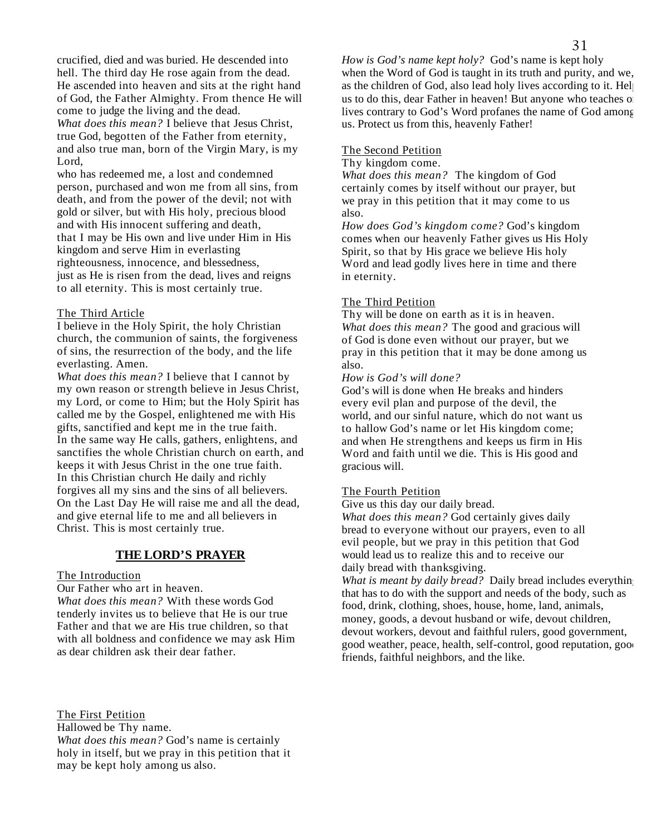crucified, died and was buried. He descended into hell. The third day He rose again from the dead. He ascended into heaven and sits at the right hand of God, the Father Almighty. From thence He will come to judge the living and the dead. *What does this mean?* I believe that Jesus Christ, true God, begotten of the Father from eternity, and also true man, born of the Virgin Mary, is my Lord,

who has redeemed me, a lost and condemned person, purchased and won me from all sins, from death, and from the power of the devil; not with gold or silver, but with His holy, precious blood and with His innocent suffering and death, that I may be His own and live under Him in His kingdom and serve Him in everlasting righteousness, innocence, and blessedness, just as He is risen from the dead, lives and reigns to all eternity. This is most certainly true.

#### The Third Article

I believe in the Holy Spirit, the holy Christian church, the communion of saints, the forgiveness of sins, the resurrection of the body, and the life everlasting. Amen.

*What does this mean?* I believe that I cannot by my own reason or strength believe in Jesus Christ, my Lord, or come to Him; but the Holy Spirit has called me by the Gospel, enlightened me with His gifts, sanctified and kept me in the true faith. In the same way He calls, gathers, enlightens, and sanctifies the whole Christian church on earth, and keeps it with Jesus Christ in the one true faith. In this Christian church He daily and richly forgives all my sins and the sins of all believers. On the Last Day He will raise me and all the dead, and give eternal life to me and all believers in Christ. This is most certainly true.

#### **THE LORD'S PRAYER**

#### The Introduction

Our Father who art in heaven. *What does this mean?* With these words God tenderly invites us to believe that He is our true Father and that we are His true children, so that with all boldness and confidence we may ask Him as dear children ask their dear father.

*How is God's name kept holy?* God's name is kept holy when the Word of God is taught in its truth and purity, and we, as the children of God, also lead holy lives according to it. Help us to do this, dear Father in heaven! But anyone who teaches or lives contrary to God's Word profanes the name of God among us. Protect us from this, heavenly Father!

#### The Second Petition

Thy kingdom come.

*What does this mean?* The kingdom of God certainly comes by itself without our prayer, but we pray in this petition that it may come to us also.

*How does God's kingdom come?* God's kingdom comes when our heavenly Father gives us His Holy Spirit, so that by His grace we believe His holy Word and lead godly lives here in time and there in eternity.

#### The Third Petition

Thy will be done on earth as it is in heaven. *What does this mean?* The good and gracious will of God is done even without our prayer, but we pray in this petition that it may be done among us also.

#### *How is God's will done?*

God's will is done when He breaks and hinders every evil plan and purpose of the devil, the world, and our sinful nature, which do not want us to hallow God's name or let His kingdom come; and when He strengthens and keeps us firm in His Word and faith until we die. This is His good and gracious will.

#### The Fourth Petition

Give us this day our daily bread.

*What does this mean?* God certainly gives daily bread to everyone without our prayers, even to all evil people, but we pray in this petition that God would lead us to realize this and to receive our daily bread with thanksgiving.

*What is meant by daily bread?* Daily bread includes everything that has to do with the support and needs of the body, such as food, drink, clothing, shoes, house, home, land, animals, money, goods, a devout husband or wife, devout children, devout workers, devout and faithful rulers, good government, good weather, peace, health, self-control, good reputation, good friends, faithful neighbors, and the like.

The First Petition Hallowed be Thy name. *What does this mean?* God's name is certainly holy in itself, but we pray in this petition that it may be kept holy among us also.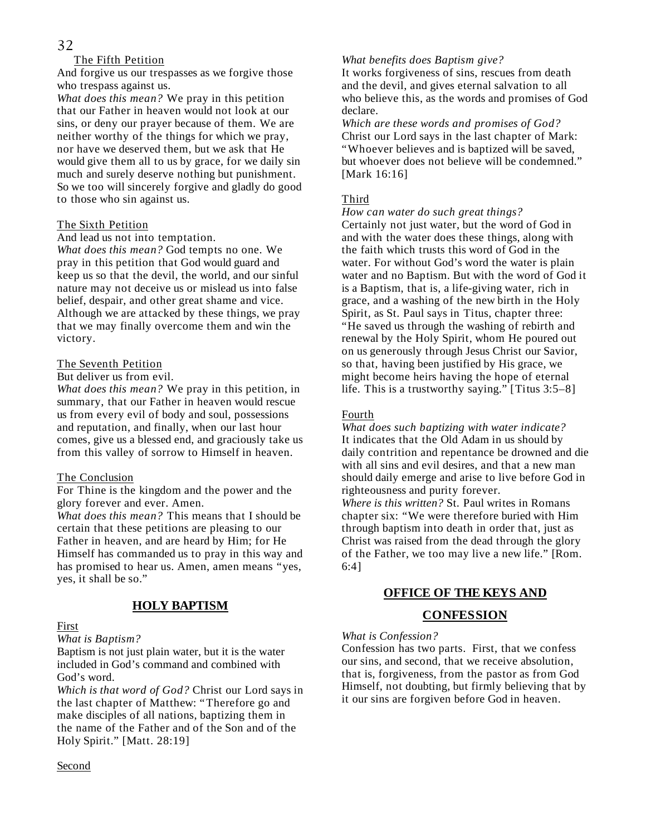# 32

# The Fifth Petition

And forgive us our trespasses as we forgive those who trespass against us.

*What does this mean?* We pray in this petition that our Father in heaven would not look at our sins, or deny our prayer because of them. We are neither worthy of the things for which we pray, nor have we deserved them, but we ask that He would give them all to us by grace, for we daily sin much and surely deserve nothing but punishment. So we too will sincerely forgive and gladly do good to those who sin against us.

# The Sixth Petition

And lead us not into temptation.

*What does this mean?* God tempts no one. We pray in this petition that God would guard and keep us so that the devil, the world, and our sinful nature may not deceive us or mislead us into false belief, despair, and other great shame and vice. Although we are attacked by these things, we pray that we may finally overcome them and win the victory.

#### The Seventh Petition

#### But deliver us from evil.

*What does this mean?* We pray in this petition, in summary, that our Father in heaven would rescue us from every evil of body and soul, possessions and reputation, and finally, when our last hour comes, give us a blessed end, and graciously take us from this valley of sorrow to Himself in heaven.

#### The Conclusion

For Thine is the kingdom and the power and the glory forever and ever. Amen.

*What does this mean?* This means that I should be certain that these petitions are pleasing to our Father in heaven, and are heard by Him; for He Himself has commanded us to pray in this way and has promised to hear us. Amen, amen means "yes, yes, it shall be so."

# **HOLY BAPTISM**

#### First

*What is Baptism?* 

Baptism is not just plain water, but it is the water included in God's command and combined with God's word.

*Which is that word of God?* Christ our Lord says in the last chapter of Matthew: "Therefore go and make disciples of all nations, baptizing them in the name of the Father and of the Son and of the Holy Spirit." [Matt. 28:19]

#### *What benefits does Baptism give?*

It works forgiveness of sins, rescues from death and the devil, and gives eternal salvation to all who believe this, as the words and promises of God declare.

*Which are these words and promises of God?*  Christ our Lord says in the last chapter of Mark: "Whoever believes and is baptized will be saved, but whoever does not believe will be condemned." [Mark 16:16]

# Third

*How can water do such great things?* 

Certainly not just water, but the word of God in and with the water does these things, along with the faith which trusts this word of God in the water. For without God's word the water is plain water and no Baptism. But with the word of God it is a Baptism, that is, a life-giving water, rich in grace, and a washing of the new birth in the Holy Spirit, as St. Paul says in Titus, chapter three: "He saved us through the washing of rebirth and renewal by the Holy Spirit, whom He poured out on us generously through Jesus Christ our Savior, so that, having been justified by His grace, we might become heirs having the hope of eternal life. This is a trustworthy saying." [Titus 3:5–8]

#### Fourth

*What does such baptizing with water indicate?*  It indicates that the Old Adam in us should by daily contrition and repentance be drowned and die with all sins and evil desires, and that a new man should daily emerge and arise to live before God in righteousness and purity forever. *Where is this written?* St. Paul writes in Romans chapter six: "We were therefore buried with Him through baptism into death in order that, just as Christ was raised from the dead through the glory of the Father, we too may live a new life." [Rom. 6:4]

# **OFFICE OF THE KEYS AND CONFESSION**

#### *What is Confession?*

Confession has two parts. First, that we confess our sins, and second, that we receive absolution, that is, forgiveness, from the pastor as from God Himself, not doubting, but firmly believing that by it our sins are forgiven before God in heaven.

# Second